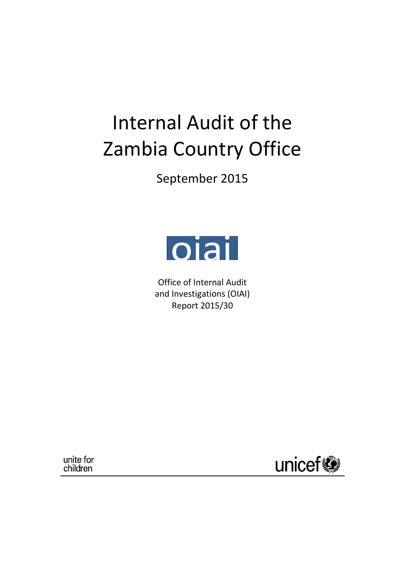# Internal Audit of the Zambia Country Office

September 2015



Office of Internal Audit and Investigations (OIAI) Report 2015/30

unite for children

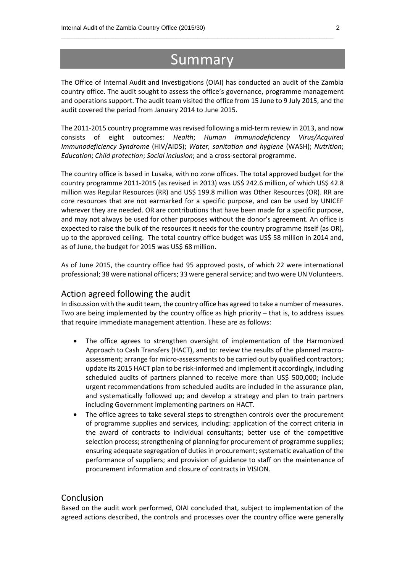# Summary

\_\_\_\_\_\_\_\_\_\_\_\_\_\_\_\_\_\_\_\_\_\_\_\_\_\_\_\_\_\_\_\_\_\_\_\_\_\_\_\_\_\_\_\_\_\_\_\_\_\_\_\_\_\_\_\_\_\_\_\_\_\_\_\_\_\_\_\_\_\_\_\_\_\_\_\_\_\_\_\_

The Office of Internal Audit and Investigations (OIAI) has conducted an audit of the Zambia country office. The audit sought to assess the office's governance, programme management and operations support. The audit team visited the office from 15 June to 9 July 2015, and the audit covered the period from January 2014 to June 2015.

The 2011-2015 country programme was revised following a mid-term review in 2013, and now consists of eight outcomes: *Health*; *Human Immunodeficiency Virus/Acquired Immunodeficiency Syndrome* (HIV/AIDS); *Water, sanitation and hygiene* (WASH); *Nutrition*; *Education*; *Child protection*; *Social inclusion*; and a cross-sectoral programme.

The country office is based in Lusaka, with no zone offices. The total approved budget for the country programme 2011-2015 (as revised in 2013) was US\$ 242.6 million, of which US\$ 42.8 million was Regular Resources (RR) and US\$ 199.8 million was Other Resources (OR). RR are core resources that are not earmarked for a specific purpose, and can be used by UNICEF wherever they are needed. OR are contributions that have been made for a specific purpose, and may not always be used for other purposes without the donor's agreement. An office is expected to raise the bulk of the resources it needs for the country programme itself (as OR), up to the approved ceiling. The total country office budget was US\$ 58 million in 2014 and, as of June, the budget for 2015 was US\$ 68 million.

As of June 2015, the country office had 95 approved posts, of which 22 were international professional; 38 were national officers; 33 were general service; and two were UN Volunteers.

#### Action agreed following the audit

In discussion with the audit team, the country office has agreed to take a number of measures. Two are being implemented by the country office as high priority  $-$  that is, to address issues that require immediate management attention. These are as follows:

- The office agrees to strengthen oversight of implementation of the Harmonized Approach to Cash Transfers (HACT), and to: review the results of the planned macroassessment; arrange for micro-assessments to be carried out by qualified contractors; update its 2015 HACT plan to be risk-informed and implement it accordingly, including scheduled audits of partners planned to receive more than US\$ 500,000; include urgent recommendations from scheduled audits are included in the assurance plan, and systematically followed up; and develop a strategy and plan to train partners including Government implementing partners on HACT.
- The office agrees to take several steps to strengthen controls over the procurement of programme supplies and services, including: application of the correct criteria in the award of contracts to individual consultants; better use of the competitive selection process; strengthening of planning for procurement of programme supplies; ensuring adequate segregation of duties in procurement; systematic evaluation of the performance of suppliers; and provision of guidance to staff on the maintenance of procurement information and closure of contracts in VISION.

#### Conclusion

Based on the audit work performed, OIAI concluded that, subject to implementation of the agreed actions described, the controls and processes over the country office were generally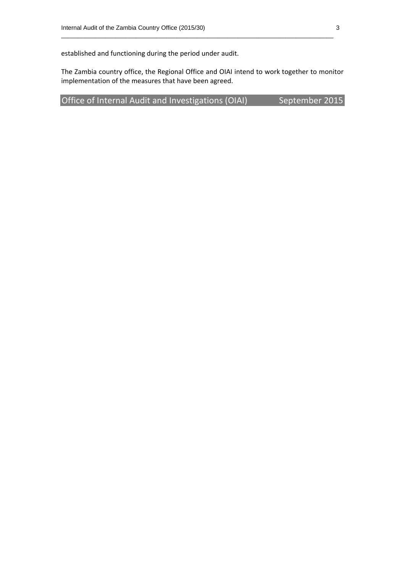established and functioning during the period under audit.

The Zambia country office, the Regional Office and OIAI intend to work together to monitor implementation of the measures that have been agreed.

\_\_\_\_\_\_\_\_\_\_\_\_\_\_\_\_\_\_\_\_\_\_\_\_\_\_\_\_\_\_\_\_\_\_\_\_\_\_\_\_\_\_\_\_\_\_\_\_\_\_\_\_\_\_\_\_\_\_\_\_\_\_\_\_\_\_\_\_\_\_\_\_\_\_\_\_\_\_\_\_

Office of Internal Audit and Investigations (OIAI) September 2015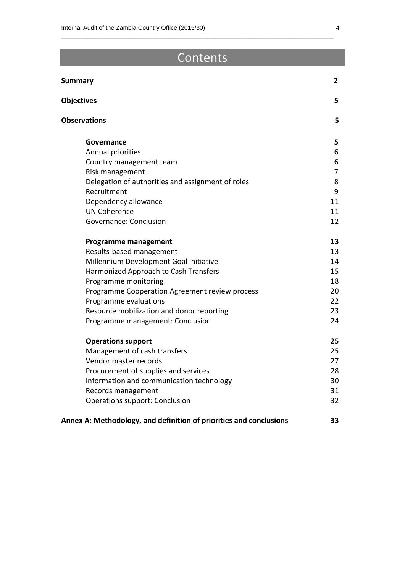# **Contents**

\_\_\_\_\_\_\_\_\_\_\_\_\_\_\_\_\_\_\_\_\_\_\_\_\_\_\_\_\_\_\_\_\_\_\_\_\_\_\_\_\_\_\_\_\_\_\_\_\_\_\_\_\_\_\_\_\_\_\_\_\_\_\_\_\_\_\_\_\_\_\_\_\_\_\_\_\_\_\_\_

| <b>Summary</b>                                                     | $\mathbf{2}$   |
|--------------------------------------------------------------------|----------------|
| <b>Objectives</b>                                                  | 5              |
| <b>Observations</b>                                                | 5              |
| Governance                                                         | 5              |
| Annual priorities                                                  | 6              |
| Country management team                                            | 6              |
| Risk management                                                    | $\overline{7}$ |
| Delegation of authorities and assignment of roles                  | 8              |
| Recruitment                                                        | 9              |
| Dependency allowance                                               | 11             |
| <b>UN Coherence</b>                                                | 11             |
| Governance: Conclusion                                             | 12             |
| <b>Programme management</b>                                        | 13             |
| Results-based management                                           | 13             |
| Millennium Development Goal initiative                             | 14             |
| Harmonized Approach to Cash Transfers                              | 15             |
| Programme monitoring                                               | 18             |
| Programme Cooperation Agreement review process                     | 20             |
| Programme evaluations                                              | 22             |
| Resource mobilization and donor reporting                          | 23             |
| Programme management: Conclusion                                   | 24             |
| <b>Operations support</b>                                          | 25             |
| Management of cash transfers                                       | 25             |
| Vendor master records                                              | 27             |
| Procurement of supplies and services                               | 28             |
| Information and communication technology                           | 30             |
| Records management                                                 | 31             |
| Operations support: Conclusion                                     | 32             |
| Annex A: Methodology, and definition of priorities and conclusions | 33             |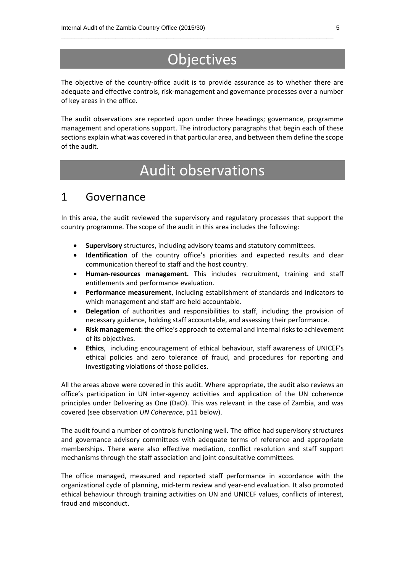# **Objectives**

\_\_\_\_\_\_\_\_\_\_\_\_\_\_\_\_\_\_\_\_\_\_\_\_\_\_\_\_\_\_\_\_\_\_\_\_\_\_\_\_\_\_\_\_\_\_\_\_\_\_\_\_\_\_\_\_\_\_\_\_\_\_\_\_\_\_\_\_\_\_\_\_\_\_\_\_\_\_\_\_

The objective of the country-office audit is to provide assurance as to whether there are adequate and effective controls, risk-management and governance processes over a number of key areas in the office.

The audit observations are reported upon under three headings; governance, programme management and operations support. The introductory paragraphs that begin each of these sections explain what was covered in that particular area, and between them define the scope of the audit.

# Audit observations

### 1 Governance

In this area, the audit reviewed the supervisory and regulatory processes that support the country programme. The scope of the audit in this area includes the following:

- **Supervisory** structures, including advisory teams and statutory committees.
- **Identification** of the country office's priorities and expected results and clear communication thereof to staff and the host country.
- **Human-resources management.** This includes recruitment, training and staff entitlements and performance evaluation.
- **Performance measurement**, including establishment of standards and indicators to which management and staff are held accountable.
- **Delegation** of authorities and responsibilities to staff, including the provision of necessary guidance, holding staff accountable, and assessing their performance.
- **Risk management**: the office's approach to external and internal risks to achievement of its objectives.
- **Ethics**, including encouragement of ethical behaviour, staff awareness of UNICEF's ethical policies and zero tolerance of fraud, and procedures for reporting and investigating violations of those policies.

All the areas above were covered in this audit. Where appropriate, the audit also reviews an office's participation in UN inter-agency activities and application of the UN coherence principles under Delivering as One (DaO). This was relevant in the case of Zambia, and was covered (see observation *UN Coherence*, p11 below).

The audit found a number of controls functioning well. The office had supervisory structures and governance advisory committees with adequate terms of reference and appropriate memberships. There were also effective mediation, conflict resolution and staff support mechanisms through the staff association and joint consultative committees.

The office managed, measured and reported staff performance in accordance with the organizational cycle of planning, mid-term review and year-end evaluation. It also promoted ethical behaviour through training activities on UN and UNICEF values, conflicts of interest, fraud and misconduct.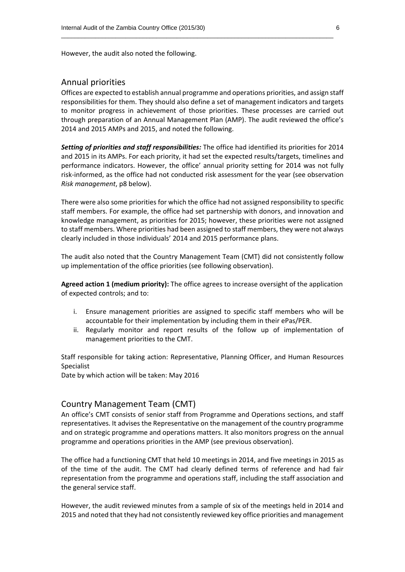However, the audit also noted the following.

#### Annual priorities

Offices are expected to establish annual programme and operations priorities, and assign staff responsibilities for them. They should also define a set of management indicators and targets to monitor progress in achievement of those priorities. These processes are carried out through preparation of an Annual Management Plan (AMP). The audit reviewed the office's 2014 and 2015 AMPs and 2015, and noted the following.

\_\_\_\_\_\_\_\_\_\_\_\_\_\_\_\_\_\_\_\_\_\_\_\_\_\_\_\_\_\_\_\_\_\_\_\_\_\_\_\_\_\_\_\_\_\_\_\_\_\_\_\_\_\_\_\_\_\_\_\_\_\_\_\_\_\_\_\_\_\_\_\_\_\_\_\_\_\_\_\_

*Setting of priorities and staff responsibilities:* The office had identified its priorities for 2014 and 2015 in its AMPs. For each priority, it had set the expected results/targets, timelines and performance indicators. However, the office' annual priority setting for 2014 was not fully risk-informed, as the office had not conducted risk assessment for the year (see observation *Risk management*, p8 below).

There were also some priorities for which the office had not assigned responsibility to specific staff members. For example, the office had set partnership with donors, and innovation and knowledge management, as priorities for 2015; however, these priorities were not assigned to staff members. Where priorities had been assigned to staff members, they were not always clearly included in those individuals' 2014 and 2015 performance plans.

The audit also noted that the Country Management Team (CMT) did not consistently follow up implementation of the office priorities (see following observation).

**Agreed action 1 (medium priority):** The office agrees to increase oversight of the application of expected controls; and to:

- i. Ensure management priorities are assigned to specific staff members who will be accountable for their implementation by including them in their ePas/PER.
- ii. Regularly monitor and report results of the follow up of implementation of management priorities to the CMT.

Staff responsible for taking action: Representative, Planning Officer, and Human Resources Specialist

Date by which action will be taken: May 2016

#### Country Management Team (CMT)

An office's CMT consists of senior staff from Programme and Operations sections, and staff representatives. It advises the Representative on the management of the country programme and on strategic programme and operations matters. It also monitors progress on the annual programme and operations priorities in the AMP (see previous observation).

The office had a functioning CMT that held 10 meetings in 2014, and five meetings in 2015 as of the time of the audit. The CMT had clearly defined terms of reference and had fair representation from the programme and operations staff, including the staff association and the general service staff.

However, the audit reviewed minutes from a sample of six of the meetings held in 2014 and 2015 and noted that they had not consistently reviewed key office priorities and management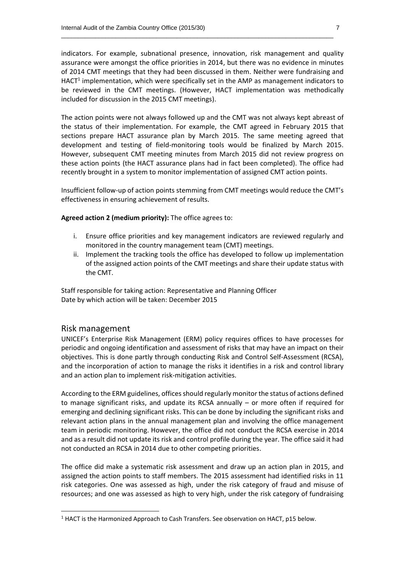indicators. For example, subnational presence, innovation, risk management and quality assurance were amongst the office priorities in 2014, but there was no evidence in minutes of 2014 CMT meetings that they had been discussed in them. Neither were fundraising and HACT<sup>1</sup> implementation, which were specifically set in the AMP as management indicators to be reviewed in the CMT meetings. (However, HACT implementation was methodically included for discussion in the 2015 CMT meetings).

\_\_\_\_\_\_\_\_\_\_\_\_\_\_\_\_\_\_\_\_\_\_\_\_\_\_\_\_\_\_\_\_\_\_\_\_\_\_\_\_\_\_\_\_\_\_\_\_\_\_\_\_\_\_\_\_\_\_\_\_\_\_\_\_\_\_\_\_\_\_\_\_\_\_\_\_\_\_\_\_

The action points were not always followed up and the CMT was not always kept abreast of the status of their implementation. For example, the CMT agreed in February 2015 that sections prepare HACT assurance plan by March 2015. The same meeting agreed that development and testing of field-monitoring tools would be finalized by March 2015. However, subsequent CMT meeting minutes from March 2015 did not review progress on these action points (the HACT assurance plans had in fact been completed). The office had recently brought in a system to monitor implementation of assigned CMT action points.

Insufficient follow-up of action points stemming from CMT meetings would reduce the CMT's effectiveness in ensuring achievement of results.

**Agreed action 2 (medium priority):** The office agrees to:

- i. Ensure office priorities and key management indicators are reviewed regularly and monitored in the country management team (CMT) meetings.
- ii. Implement the tracking tools the office has developed to follow up implementation of the assigned action points of the CMT meetings and share their update status with the CMT.

Staff responsible for taking action: Representative and Planning Officer Date by which action will be taken: December 2015

#### Risk management

**.** 

UNICEF's Enterprise Risk Management (ERM) policy requires offices to have processes for periodic and ongoing identification and assessment of risks that may have an impact on their objectives. This is done partly through conducting Risk and Control Self-Assessment (RCSA), and the incorporation of action to manage the risks it identifies in a risk and control library and an action plan to implement risk-mitigation activities.

According to the ERM guidelines, offices should regularly monitor the status of actions defined to manage significant risks, and update its RCSA annually – or more often if required for emerging and declining significant risks. This can be done by including the significant risks and relevant action plans in the annual management plan and involving the office management team in periodic monitoring. However, the office did not conduct the RCSA exercise in 2014 and as a result did not update its risk and control profile during the year. The office said it had not conducted an RCSA in 2014 due to other competing priorities.

The office did make a systematic risk assessment and draw up an action plan in 2015, and assigned the action points to staff members. The 2015 assessment had identified risks in 11 risk categories. One was assessed as high, under the risk category of fraud and misuse of resources; and one was assessed as high to very high, under the risk category of fundraising

 $1$  HACT is the Harmonized Approach to Cash Transfers. See observation on HACT, p15 below.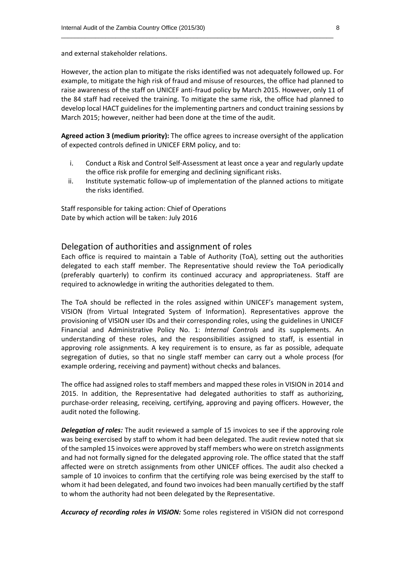and external stakeholder relations.

However, the action plan to mitigate the risks identified was not adequately followed up. For example, to mitigate the high risk of fraud and misuse of resources, the office had planned to raise awareness of the staff on UNICEF anti-fraud policy by March 2015. However, only 11 of the 84 staff had received the training. To mitigate the same risk, the office had planned to develop local HACT guidelines for the implementing partners and conduct training sessions by March 2015; however, neither had been done at the time of the audit.

\_\_\_\_\_\_\_\_\_\_\_\_\_\_\_\_\_\_\_\_\_\_\_\_\_\_\_\_\_\_\_\_\_\_\_\_\_\_\_\_\_\_\_\_\_\_\_\_\_\_\_\_\_\_\_\_\_\_\_\_\_\_\_\_\_\_\_\_\_\_\_\_\_\_\_\_\_\_\_\_

**Agreed action 3 (medium priority):** The office agrees to increase oversight of the application of expected controls defined in UNICEF ERM policy, and to:

- i. Conduct a Risk and Control Self-Assessment at least once a year and regularly update the office risk profile for emerging and declining significant risks.
- ii. Institute systematic follow-up of implementation of the planned actions to mitigate the risks identified.

Staff responsible for taking action: Chief of Operations Date by which action will be taken: July 2016

#### Delegation of authorities and assignment of roles

Each office is required to maintain a Table of Authority (ToA), setting out the authorities delegated to each staff member. The Representative should review the ToA periodically (preferably quarterly) to confirm its continued accuracy and appropriateness. Staff are required to acknowledge in writing the authorities delegated to them.

The ToA should be reflected in the roles assigned within UNICEF's management system, VISION (from Virtual Integrated System of Information). Representatives approve the provisioning of VISION user IDs and their corresponding roles, using the guidelines in UNICEF Financial and Administrative Policy No. 1: *Internal Controls* and its supplements. An understanding of these roles, and the responsibilities assigned to staff, is essential in approving role assignments. A key requirement is to ensure, as far as possible, adequate segregation of duties, so that no single staff member can carry out a whole process (for example ordering, receiving and payment) without checks and balances.

The office had assigned roles to staff members and mapped these roles in VISION in 2014 and 2015. In addition, the Representative had delegated authorities to staff as authorizing, purchase-order releasing, receiving, certifying, approving and paying officers. However, the audit noted the following.

*Delegation of roles:* The audit reviewed a sample of 15 invoices to see if the approving role was being exercised by staff to whom it had been delegated. The audit review noted that six of the sampled 15 invoices were approved by staff members who were on stretch assignments and had not formally signed for the delegated approving role. The office stated that the staff affected were on stretch assignments from other UNICEF offices. The audit also checked a sample of 10 invoices to confirm that the certifying role was being exercised by the staff to whom it had been delegated, and found two invoices had been manually certified by the staff to whom the authority had not been delegated by the Representative.

*Accuracy of recording roles in VISION:* Some roles registered in VISION did not correspond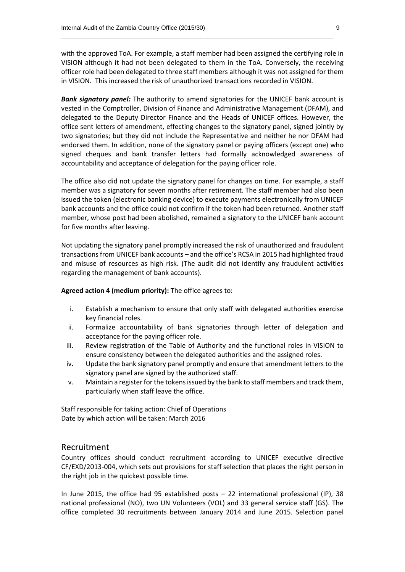with the approved ToA. For example, a staff member had been assigned the certifying role in VISION although it had not been delegated to them in the ToA. Conversely, the receiving officer role had been delegated to three staff members although it was not assigned for them in VISION. This increased the risk of unauthorized transactions recorded in VISION.

\_\_\_\_\_\_\_\_\_\_\_\_\_\_\_\_\_\_\_\_\_\_\_\_\_\_\_\_\_\_\_\_\_\_\_\_\_\_\_\_\_\_\_\_\_\_\_\_\_\_\_\_\_\_\_\_\_\_\_\_\_\_\_\_\_\_\_\_\_\_\_\_\_\_\_\_\_\_\_\_

**Bank signatory panel:** The authority to amend signatories for the UNICEF bank account is vested in the Comptroller, Division of Finance and Administrative Management (DFAM), and delegated to the Deputy Director Finance and the Heads of UNICEF offices. However, the office sent letters of amendment, effecting changes to the signatory panel, signed jointly by two signatories; but they did not include the Representative and neither he nor DFAM had endorsed them. In addition, none of the signatory panel or paying officers (except one) who signed cheques and bank transfer letters had formally acknowledged awareness of accountability and acceptance of delegation for the paying officer role.

The office also did not update the signatory panel for changes on time. For example, a staff member was a signatory for seven months after retirement. The staff member had also been issued the token (electronic banking device) to execute payments electronically from UNICEF bank accounts and the office could not confirm if the token had been returned. Another staff member, whose post had been abolished, remained a signatory to the UNICEF bank account for five months after leaving.

Not updating the signatory panel promptly increased the risk of unauthorized and fraudulent transactions from UNICEF bank accounts – and the office's RCSA in 2015 had highlighted fraud and misuse of resources as high risk. (The audit did not identify any fraudulent activities regarding the management of bank accounts).

#### **Agreed action 4 (medium priority):** The office agrees to:

- i. Establish a mechanism to ensure that only staff with delegated authorities exercise key financial roles.
- ii. Formalize accountability of bank signatories through letter of delegation and acceptance for the paying officer role.
- iii. Review registration of the Table of Authority and the functional roles in VISION to ensure consistency between the delegated authorities and the assigned roles.
- iv. Update the bank signatory panel promptly and ensure that amendment letters to the signatory panel are signed by the authorized staff.
- v. Maintain a register for the tokens issued by the bank to staff members and track them, particularly when staff leave the office.

Staff responsible for taking action: Chief of Operations Date by which action will be taken: March 2016

#### Recruitment

Country offices should conduct recruitment according to UNICEF executive directive CF/EXD/2013-004, which sets out provisions for staff selection that places the right person in the right job in the quickest possible time.

In June 2015, the office had 95 established posts – 22 international professional (IP), 38 national professional (NO), two UN Volunteers (VOL) and 33 general service staff (GS). The office completed 30 recruitments between January 2014 and June 2015. Selection panel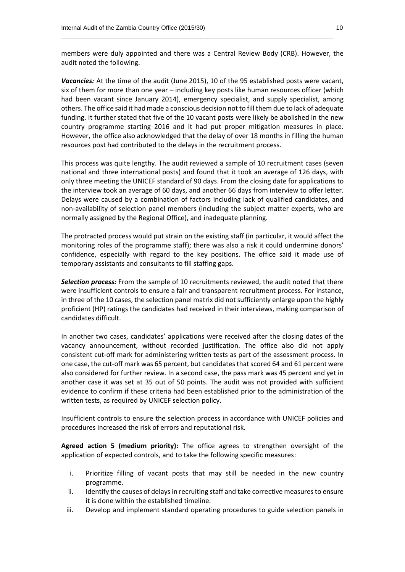members were duly appointed and there was a Central Review Body (CRB). However, the audit noted the following.

\_\_\_\_\_\_\_\_\_\_\_\_\_\_\_\_\_\_\_\_\_\_\_\_\_\_\_\_\_\_\_\_\_\_\_\_\_\_\_\_\_\_\_\_\_\_\_\_\_\_\_\_\_\_\_\_\_\_\_\_\_\_\_\_\_\_\_\_\_\_\_\_\_\_\_\_\_\_\_\_

*Vacancies:* At the time of the audit (June 2015), 10 of the 95 established posts were vacant, six of them for more than one year – including key posts like human resources officer (which had been vacant since January 2014), emergency specialist, and supply specialist, among others. The office said it had made a conscious decision not to fill them due to lack of adequate funding. It further stated that five of the 10 vacant posts were likely be abolished in the new country programme starting 2016 and it had put proper mitigation measures in place. However, the office also acknowledged that the delay of over 18 months in filling the human resources post had contributed to the delays in the recruitment process.

This process was quite lengthy. The audit reviewed a sample of 10 recruitment cases (seven national and three international posts) and found that it took an average of 126 days, with only three meeting the UNICEF standard of 90 days. From the closing date for applications to the interview took an average of 60 days, and another 66 days from interview to offer letter. Delays were caused by a combination of factors including lack of qualified candidates, and non-availability of selection panel members (including the subject matter experts, who are normally assigned by the Regional Office), and inadequate planning.

The protracted process would put strain on the existing staff (in particular, it would affect the monitoring roles of the programme staff); there was also a risk it could undermine donors' confidence, especially with regard to the key positions. The office said it made use of temporary assistants and consultants to fill staffing gaps.

*Selection process:* From the sample of 10 recruitments reviewed, the audit noted that there were insufficient controls to ensure a fair and transparent recruitment process. For instance, in three of the 10 cases, the selection panel matrix did not sufficiently enlarge upon the highly proficient (HP) ratings the candidates had received in their interviews, making comparison of candidates difficult.

In another two cases, candidates' applications were received after the closing dates of the vacancy announcement, without recorded justification. The office also did not apply consistent cut-off mark for administering written tests as part of the assessment process. In one case, the cut-off mark was 65 percent, but candidates that scored 64 and 61 percent were also considered for further review. In a second case, the pass mark was 45 percent and yet in another case it was set at 35 out of 50 points. The audit was not provided with sufficient evidence to confirm if these criteria had been established prior to the administration of the written tests, as required by UNICEF selection policy.

Insufficient controls to ensure the selection process in accordance with UNICEF policies and procedures increased the risk of errors and reputational risk.

**Agreed action 5 (medium priority):** The office agrees to strengthen oversight of the application of expected controls, and to take the following specific measures:

- i. Prioritize filling of vacant posts that may still be needed in the new country programme.
- ii. Identify the causes of delays in recruiting staff and take corrective measures to ensure it is done within the established timeline.
- iii. Develop and implement standard operating procedures to guide selection panels in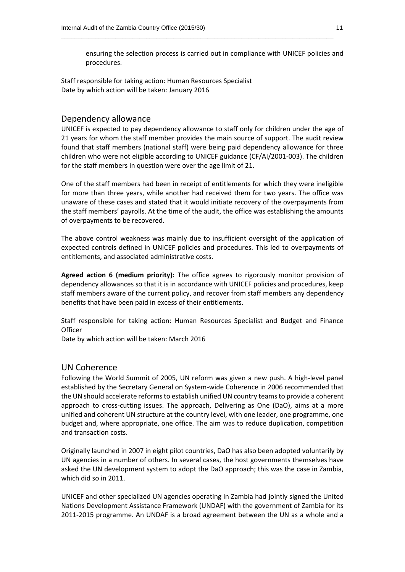ensuring the selection process is carried out in compliance with UNICEF policies and procedures.

\_\_\_\_\_\_\_\_\_\_\_\_\_\_\_\_\_\_\_\_\_\_\_\_\_\_\_\_\_\_\_\_\_\_\_\_\_\_\_\_\_\_\_\_\_\_\_\_\_\_\_\_\_\_\_\_\_\_\_\_\_\_\_\_\_\_\_\_\_\_\_\_\_\_\_\_\_\_\_\_

Staff responsible for taking action: Human Resources Specialist Date by which action will be taken: January 2016

#### Dependency allowance

UNICEF is expected to pay dependency allowance to staff only for children under the age of 21 years for whom the staff member provides the main source of support. The audit review found that staff members (national staff) were being paid dependency allowance for three children who were not eligible according to UNICEF guidance (CF/AI/2001-003). The children for the staff members in question were over the age limit of 21.

One of the staff members had been in receipt of entitlements for which they were ineligible for more than three years, while another had received them for two years. The office was unaware of these cases and stated that it would initiate recovery of the overpayments from the staff members' payrolls. At the time of the audit, the office was establishing the amounts of overpayments to be recovered.

The above control weakness was mainly due to insufficient oversight of the application of expected controls defined in UNICEF policies and procedures. This led to overpayments of entitlements, and associated administrative costs.

**Agreed action 6 (medium priority):** The office agrees to rigorously monitor provision of dependency allowances so that it is in accordance with UNICEF policies and procedures, keep staff members aware of the current policy, and recover from staff members any dependency benefits that have been paid in excess of their entitlements.

Staff responsible for taking action: Human Resources Specialist and Budget and Finance **Officer** 

Date by which action will be taken: March 2016

#### UN Coherence

Following the World Summit of 2005, UN reform was given a new push. A high-level panel established by the Secretary General on System-wide Coherence in 2006 recommended that the UN should accelerate reforms to establish unified UN country teams to provide a coherent approach to cross-cutting issues. The approach, Delivering as One (DaO), aims at a more unified and coherent UN structure at the country level, with one leader, one programme, one budget and, where appropriate, one office. The aim was to reduce duplication, competition and transaction costs.

Originally launched in 2007 in eight pilot countries, DaO has also been adopted voluntarily by UN agencies in a number of others. In several cases, the host governments themselves have asked the UN development system to adopt the DaO approach; this was the case in Zambia, which did so in 2011.

UNICEF and other specialized UN agencies operating in Zambia had jointly signed the United Nations Development Assistance Framework (UNDAF) with the government of Zambia for its 2011-2015 programme. An UNDAF is a broad agreement between the UN as a whole and a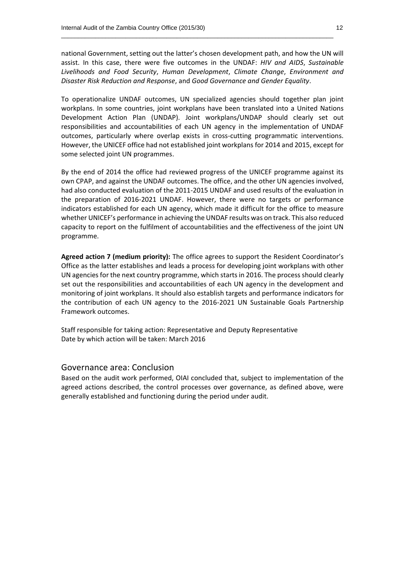national Government, setting out the latter's chosen development path, and how the UN will assist. In this case, there were five outcomes in the UNDAF: *HIV and AIDS*, *Sustainable Livelihoods and Food Security*, *Human Development*, *Climate Change*, *Environment and Disaster Risk Reduction and Response*, and *Good Governance and Gender Equality*.

\_\_\_\_\_\_\_\_\_\_\_\_\_\_\_\_\_\_\_\_\_\_\_\_\_\_\_\_\_\_\_\_\_\_\_\_\_\_\_\_\_\_\_\_\_\_\_\_\_\_\_\_\_\_\_\_\_\_\_\_\_\_\_\_\_\_\_\_\_\_\_\_\_\_\_\_\_\_\_\_

To operationalize UNDAF outcomes, UN specialized agencies should together plan joint workplans. In some countries, joint workplans have been translated into a United Nations Development Action Plan (UNDAP). Joint workplans/UNDAP should clearly set out responsibilities and accountabilities of each UN agency in the implementation of UNDAF outcomes, particularly where overlap exists in cross-cutting programmatic interventions. However, the UNICEF office had not established joint workplans for 2014 and 2015, except for some selected joint UN programmes.

By the end of 2014 the office had reviewed progress of the UNICEF programme against its own CPAP, and against the UNDAF outcomes. The office, and the other UN agencies involved, had also conducted evaluation of the 2011-2015 UNDAF and used results of the evaluation in the preparation of 2016-2021 UNDAF. However, there were no targets or performance indicators established for each UN agency, which made it difficult for the office to measure whether UNICEF's performance in achieving the UNDAF results was on track. This also reduced capacity to report on the fulfilment of accountabilities and the effectiveness of the joint UN programme.

**Agreed action 7 (medium priority):** The office agrees to support the Resident Coordinator's Office as the latter establishes and leads a process for developing joint workplans with other UN agencies for the next country programme, which startsin 2016. The process should clearly set out the responsibilities and accountabilities of each UN agency in the development and monitoring of joint workplans. It should also establish targets and performance indicators for the contribution of each UN agency to the 2016-2021 UN Sustainable Goals Partnership Framework outcomes.

Staff responsible for taking action: Representative and Deputy Representative Date by which action will be taken: March 2016

#### Governance area: Conclusion

Based on the audit work performed, OIAI concluded that, subject to implementation of the agreed actions described, the control processes over governance, as defined above, were generally established and functioning during the period under audit.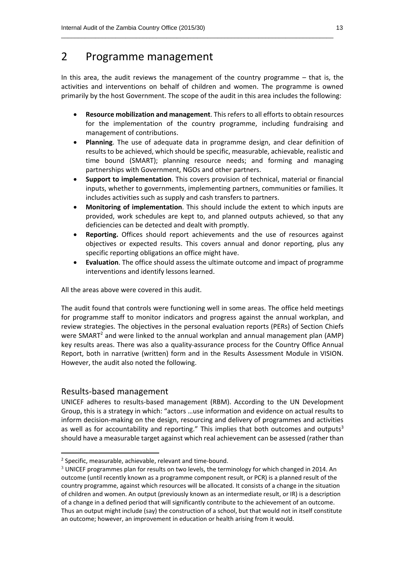### 2 Programme management

In this area, the audit reviews the management of the country programme – that is, the activities and interventions on behalf of children and women. The programme is owned primarily by the host Government. The scope of the audit in this area includes the following:

\_\_\_\_\_\_\_\_\_\_\_\_\_\_\_\_\_\_\_\_\_\_\_\_\_\_\_\_\_\_\_\_\_\_\_\_\_\_\_\_\_\_\_\_\_\_\_\_\_\_\_\_\_\_\_\_\_\_\_\_\_\_\_\_\_\_\_\_\_\_\_\_\_\_\_\_\_\_\_\_

- **Resource mobilization and management**. This refers to all efforts to obtain resources for the implementation of the country programme, including fundraising and management of contributions.
- **Planning**. The use of adequate data in programme design, and clear definition of results to be achieved, which should be specific, measurable, achievable, realistic and time bound (SMART); planning resource needs; and forming and managing partnerships with Government, NGOs and other partners.
- **Support to implementation**. This covers provision of technical, material or financial inputs, whether to governments, implementing partners, communities or families. It includes activities such as supply and cash transfers to partners.
- **Monitoring of implementation**. This should include the extent to which inputs are provided, work schedules are kept to, and planned outputs achieved, so that any deficiencies can be detected and dealt with promptly.
- **Reporting.** Offices should report achievements and the use of resources against objectives or expected results. This covers annual and donor reporting, plus any specific reporting obligations an office might have.
- **Evaluation**. The office should assess the ultimate outcome and impact of programme interventions and identify lessons learned.

All the areas above were covered in this audit.

The audit found that controls were functioning well in some areas. The office held meetings for programme staff to monitor indicators and progress against the annual workplan, and review strategies. The objectives in the personal evaluation reports (PERs) of Section Chiefs were SMART<sup>2</sup> and were linked to the annual workplan and annual management plan (AMP) key results areas. There was also a quality-assurance process for the Country Office Annual Report, both in narrative (written) form and in the Results Assessment Module in VISION. However, the audit also noted the following.

#### Results-based management

**.** 

UNICEF adheres to results-based management (RBM). According to the UN Development Group, this is a strategy in which: "actors …use information and evidence on actual results to inform decision-making on the design, resourcing and delivery of programmes and activities as well as for accountability and reporting." This implies that both outcomes and outputs<sup>3</sup> should have a measurable target against which real achievement can be assessed (rather than

<sup>&</sup>lt;sup>2</sup> Specific, measurable, achievable, relevant and time-bound.

 $3$  UNICEF programmes plan for results on two levels, the terminology for which changed in 2014. An outcome (until recently known as a programme component result, or PCR) is a planned result of the country programme, against which resources will be allocated. It consists of a change in the situation of children and women. An output (previously known as an intermediate result, or IR) is a description of a change in a defined period that will significantly contribute to the achievement of an outcome. Thus an output might include (say) the construction of a school, but that would not in itself constitute an outcome; however, an improvement in education or health arising from it would.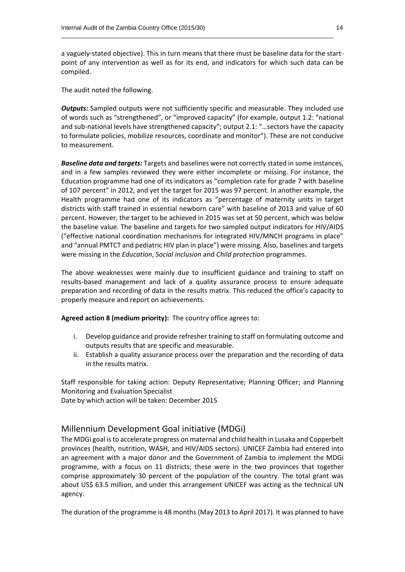a vaguely-stated objective). This in turn means that there must be baseline data for the startpoint of any intervention as well as for its end, and indicators for which such data can be compiled.

\_\_\_\_\_\_\_\_\_\_\_\_\_\_\_\_\_\_\_\_\_\_\_\_\_\_\_\_\_\_\_\_\_\_\_\_\_\_\_\_\_\_\_\_\_\_\_\_\_\_\_\_\_\_\_\_\_\_\_\_\_\_\_\_\_\_\_\_\_\_\_\_\_\_\_\_\_\_\_\_

The audit noted the following.

*Outputs:* Sampled outputs were not sufficiently specific and measurable. They included use of words such as "strengthened", or "improved capacity" (for example, output 1.2: "national and sub-national levels have strengthened capacity"; output 2.1: "…sectors have the capacity to formulate policies, mobilize resources, coordinate and monitor"). These are not conducive to measurement.

*Baseline data and targets:* Targets and baselines were not correctly stated in some instances, and in a few samples reviewed they were either incomplete or missing. For instance, the Education programme had one of its indicators as "completion rate for grade 7 with baseline of 107 percent" in 2012, and yet the target for 2015 was 97 percent. In another example, the Health programme had one of its indicators as "percentage of maternity units in target districts with staff trained in essential newborn care" with baseline of 2013 and value of 60 percent. However, the target to be achieved in 2015 was set at 50 percent, which was below the baseline value. The baseline and targets for two sampled output indicators for HIV/AIDS ("effective national coordination mechanisms for integrated HIV/MNCH programs in place" and "annual PMTCT and pediatric HIV plan in place") were missing. Also, baselines and targets were missing in the *Education*, *Social inclusion* and *Child protection* programmes.

The above weaknesses were mainly due to insufficient guidance and training to staff on results-based management and lack of a quality assurance process to ensure adequate preparation and recording of data in the results matrix. This reduced the office's capacity to properly measure and report on achievements.

**Agreed action 8 (medium priority):** The country office agrees to:

- i. Develop guidance and provide refresher training to staff on formulating outcome and outputs results that are specific and measurable.
- ii. Establish a quality assurance process over the preparation and the recording of data in the results matrix.

Staff responsible for taking action: Deputy Representative; Planning Officer; and Planning Monitoring and Evaluation Specialist

Date by which action will be taken: December 2015

#### Millennium Development Goal initiative (MDGi)

The MDGi goal is to accelerate progress on maternal and child health in Lusaka and Copperbelt provinces (health, nutrition, WASH, and HIV/AIDS sectors). UNICEF Zambia had entered into an agreement with a major donor and the Government of Zambia to implement the MDGi programme, with a focus on 11 districts; these were in the two provinces that together comprise approximately 30 percent of the population of the country. The total grant was about US\$ 63.5 million, and under this arrangement UNICEF was acting as the technical UN agency.

The duration of the programme is 48 months (May 2013 to April 2017). It was planned to have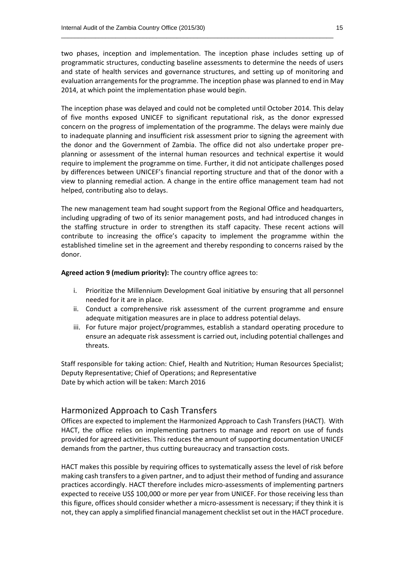two phases, inception and implementation. The inception phase includes setting up of programmatic structures, conducting baseline assessments to determine the needs of users and state of health services and governance structures, and setting up of monitoring and evaluation arrangements for the programme. The inception phase was planned to end in May 2014, at which point the implementation phase would begin.

\_\_\_\_\_\_\_\_\_\_\_\_\_\_\_\_\_\_\_\_\_\_\_\_\_\_\_\_\_\_\_\_\_\_\_\_\_\_\_\_\_\_\_\_\_\_\_\_\_\_\_\_\_\_\_\_\_\_\_\_\_\_\_\_\_\_\_\_\_\_\_\_\_\_\_\_\_\_\_\_

The inception phase was delayed and could not be completed until October 2014. This delay of five months exposed UNICEF to significant reputational risk, as the donor expressed concern on the progress of implementation of the programme. The delays were mainly due to inadequate planning and insufficient risk assessment prior to signing the agreement with the donor and the Government of Zambia. The office did not also undertake proper preplanning or assessment of the internal human resources and technical expertise it would require to implement the programme on time. Further, it did not anticipate challenges posed by differences between UNICEF's financial reporting structure and that of the donor with a view to planning remedial action. A change in the entire office management team had not helped, contributing also to delays.

The new management team had sought support from the Regional Office and headquarters, including upgrading of two of its senior management posts, and had introduced changes in the staffing structure in order to strengthen its staff capacity. These recent actions will contribute to increasing the office's capacity to implement the programme within the established timeline set in the agreement and thereby responding to concerns raised by the donor.

**Agreed action 9 (medium priority):** The country office agrees to:

- i. Prioritize the Millennium Development Goal initiative by ensuring that all personnel needed for it are in place.
- ii. Conduct a comprehensive risk assessment of the current programme and ensure adequate mitigation measures are in place to address potential delays.
- iii. For future major project/programmes, establish a standard operating procedure to ensure an adequate risk assessment is carried out, including potential challenges and threats.

Staff responsible for taking action: Chief, Health and Nutrition; Human Resources Specialist; Deputy Representative; Chief of Operations; and Representative Date by which action will be taken: March 2016

#### Harmonized Approach to Cash Transfers

Offices are expected to implement the Harmonized Approach to Cash Transfers (HACT). With HACT, the office relies on implementing partners to manage and report on use of funds provided for agreed activities. This reduces the amount of supporting documentation UNICEF demands from the partner, thus cutting bureaucracy and transaction costs.

HACT makes this possible by requiring offices to systematically assess the level of risk before making cash transfers to a given partner, and to adjust their method of funding and assurance practices accordingly. HACT therefore includes micro-assessments of implementing partners expected to receive US\$ 100,000 or more per year from UNICEF. For those receiving less than this figure, offices should consider whether a micro-assessment is necessary; if they think it is not, they can apply a simplified financial management checklist set out in the HACT procedure.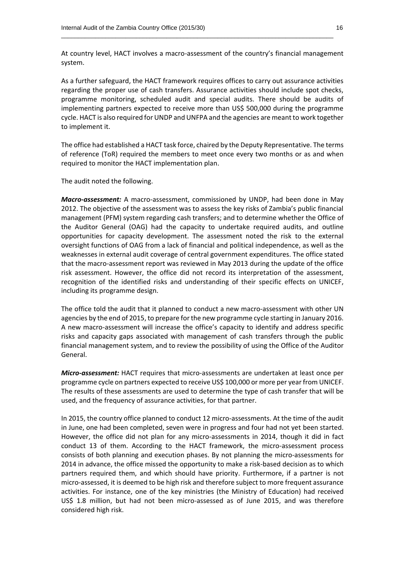At country level, HACT involves a macro-assessment of the country's financial management system.

\_\_\_\_\_\_\_\_\_\_\_\_\_\_\_\_\_\_\_\_\_\_\_\_\_\_\_\_\_\_\_\_\_\_\_\_\_\_\_\_\_\_\_\_\_\_\_\_\_\_\_\_\_\_\_\_\_\_\_\_\_\_\_\_\_\_\_\_\_\_\_\_\_\_\_\_\_\_\_\_

As a further safeguard, the HACT framework requires offices to carry out assurance activities regarding the proper use of cash transfers. Assurance activities should include spot checks, programme monitoring, scheduled audit and special audits. There should be audits of implementing partners expected to receive more than US\$ 500,000 during the programme cycle. HACT is also required for UNDP and UNFPA and the agencies are meant to work together to implement it.

The office had established a HACT task force, chaired by the Deputy Representative. The terms of reference (ToR) required the members to meet once every two months or as and when required to monitor the HACT implementation plan.

The audit noted the following.

*Macro-assessment:* A macro-assessment, commissioned by UNDP, had been done in May 2012. The objective of the assessment was to assess the key risks of Zambia's public financial management (PFM) system regarding cash transfers; and to determine whether the Office of the Auditor General (OAG) had the capacity to undertake required audits, and outline opportunities for capacity development. The assessment noted the risk to the external oversight functions of OAG from a lack of financial and political independence, as well as the weaknesses in external audit coverage of central government expenditures. The office stated that the macro-assessment report was reviewed in May 2013 during the update of the office risk assessment. However, the office did not record its interpretation of the assessment, recognition of the identified risks and understanding of their specific effects on UNICEF, including its programme design.

The office told the audit that it planned to conduct a new macro-assessment with other UN agencies by the end of 2015, to prepare for the new programme cycle starting in January 2016. A new macro-assessment will increase the office's capacity to identify and address specific risks and capacity gaps associated with management of cash transfers through the public financial management system, and to review the possibility of using the Office of the Auditor General.

*Micro-assessment:* HACT requires that micro-assessments are undertaken at least once per programme cycle on partners expected to receive US\$ 100,000 or more per year from UNICEF. The results of these assessments are used to determine the type of cash transfer that will be used, and the frequency of assurance activities, for that partner.

In 2015, the country office planned to conduct 12 micro-assessments. At the time of the audit in June, one had been completed, seven were in progress and four had not yet been started. However, the office did not plan for any micro-assessments in 2014, though it did in fact conduct 13 of them. According to the HACT framework, the micro-assessment process consists of both planning and execution phases. By not planning the micro-assessments for 2014 in advance, the office missed the opportunity to make a risk-based decision as to which partners required them, and which should have priority. Furthermore, if a partner is not micro-assessed, it is deemed to be high risk and therefore subject to more frequent assurance activities. For instance, one of the key ministries (the Ministry of Education) had received US\$ 1.8 million, but had not been micro-assessed as of June 2015, and was therefore considered high risk.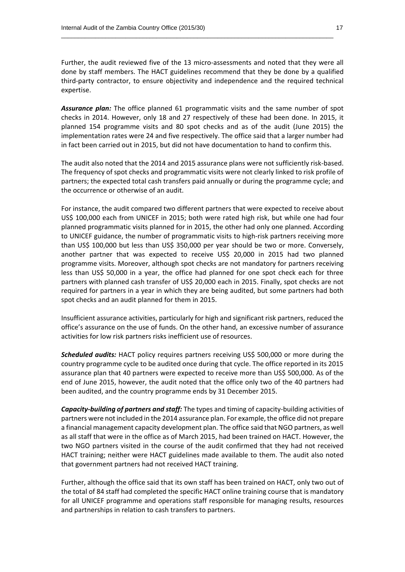Further, the audit reviewed five of the 13 micro-assessments and noted that they were all done by staff members. The HACT guidelines recommend that they be done by a qualified third-party contractor, to ensure objectivity and independence and the required technical expertise.

\_\_\_\_\_\_\_\_\_\_\_\_\_\_\_\_\_\_\_\_\_\_\_\_\_\_\_\_\_\_\_\_\_\_\_\_\_\_\_\_\_\_\_\_\_\_\_\_\_\_\_\_\_\_\_\_\_\_\_\_\_\_\_\_\_\_\_\_\_\_\_\_\_\_\_\_\_\_\_\_

*Assurance plan:* The office planned 61 programmatic visits and the same number of spot checks in 2014. However, only 18 and 27 respectively of these had been done. In 2015, it planned 154 programme visits and 80 spot checks and as of the audit (June 2015) the implementation rates were 24 and five respectively. The office said that a larger number had in fact been carried out in 2015, but did not have documentation to hand to confirm this.

The audit also noted that the 2014 and 2015 assurance plans were not sufficiently risk-based. The frequency of spot checks and programmatic visits were not clearly linked to risk profile of partners; the expected total cash transfers paid annually or during the programme cycle; and the occurrence or otherwise of an audit.

For instance, the audit compared two different partners that were expected to receive about US\$ 100,000 each from UNICEF in 2015; both were rated high risk, but while one had four planned programmatic visits planned for in 2015, the other had only one planned. According to UNICEF guidance, the number of programmatic visits to high-risk partners receiving more than US\$ 100,000 but less than US\$ 350,000 per year should be two or more. Conversely, another partner that was expected to receive US\$ 20,000 in 2015 had two planned programme visits. Moreover, although spot checks are not mandatory for partners receiving less than US\$ 50,000 in a year, the office had planned for one spot check each for three partners with planned cash transfer of US\$ 20,000 each in 2015. Finally, spot checks are not required for partners in a year in which they are being audited, but some partners had both spot checks and an audit planned for them in 2015.

Insufficient assurance activities, particularly for high and significant risk partners, reduced the office's assurance on the use of funds. On the other hand, an excessive number of assurance activities for low risk partners risks inefficient use of resources.

*Scheduled audits:* HACT policy requires partners receiving US\$ 500,000 or more during the country programme cycle to be audited once during that cycle. The office reported in its 2015 assurance plan that 40 partners were expected to receive more than US\$ 500,000. As of the end of June 2015, however, the audit noted that the office only two of the 40 partners had been audited, and the country programme ends by 31 December 2015.

*Capacity-building of partners and staff:* The types and timing of capacity-building activities of partners were not included in the 2014 assurance plan. For example, the office did not prepare a financial management capacity development plan. The office said that NGO partners, as well as all staff that were in the office as of March 2015, had been trained on HACT. However, the two NGO partners visited in the course of the audit confirmed that they had not received HACT training; neither were HACT guidelines made available to them. The audit also noted that government partners had not received HACT training.

Further, although the office said that its own staff has been trained on HACT, only two out of the total of 84 staff had completed the specific HACT online training course that is mandatory for all UNICEF programme and operations staff responsible for managing results, resources and partnerships in relation to cash transfers to partners.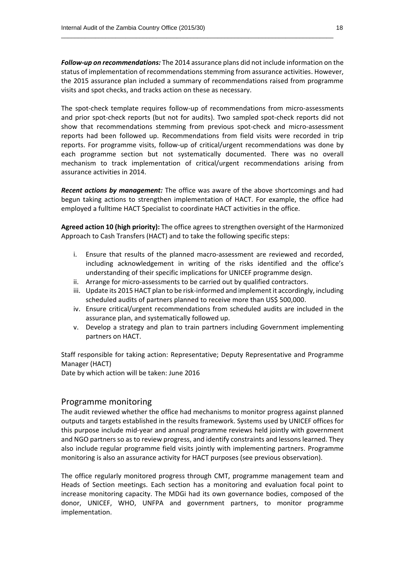*Follow-up on recommendations:* The 2014 assurance plans did not include information on the status of implementation of recommendations stemming from assurance activities. However, the 2015 assurance plan included a summary of recommendations raised from programme visits and spot checks, and tracks action on these as necessary.

\_\_\_\_\_\_\_\_\_\_\_\_\_\_\_\_\_\_\_\_\_\_\_\_\_\_\_\_\_\_\_\_\_\_\_\_\_\_\_\_\_\_\_\_\_\_\_\_\_\_\_\_\_\_\_\_\_\_\_\_\_\_\_\_\_\_\_\_\_\_\_\_\_\_\_\_\_\_\_\_

The spot-check template requires follow-up of recommendations from micro-assessments and prior spot-check reports (but not for audits). Two sampled spot-check reports did not show that recommendations stemming from previous spot-check and micro-assessment reports had been followed up. Recommendations from field visits were recorded in trip reports. For programme visits, follow-up of critical/urgent recommendations was done by each programme section but not systematically documented. There was no overall mechanism to track implementation of critical/urgent recommendations arising from assurance activities in 2014.

*Recent actions by management:* The office was aware of the above shortcomings and had begun taking actions to strengthen implementation of HACT. For example, the office had employed a fulltime HACT Specialist to coordinate HACT activities in the office.

**Agreed action 10 (high priority):** The office agrees to strengthen oversight of the Harmonized Approach to Cash Transfers (HACT) and to take the following specific steps:

- i. Ensure that results of the planned macro-assessment are reviewed and recorded, including acknowledgement in writing of the risks identified and the office's understanding of their specific implications for UNICEF programme design.
- ii. Arrange for micro-assessments to be carried out by qualified contractors.
- iii. Update its 2015 HACT plan to be risk-informed and implement it accordingly, including scheduled audits of partners planned to receive more than US\$ 500,000.
- iv. Ensure critical/urgent recommendations from scheduled audits are included in the assurance plan, and systematically followed up.
- v. Develop a strategy and plan to train partners including Government implementing partners on HACT.

Staff responsible for taking action: Representative; Deputy Representative and Programme Manager (HACT)

Date by which action will be taken: June 2016

#### Programme monitoring

The audit reviewed whether the office had mechanisms to monitor progress against planned outputs and targets established in the results framework. Systems used by UNICEF offices for this purpose include mid-year and annual programme reviews held jointly with government and NGO partners so as to review progress, and identify constraints and lessons learned. They also include regular programme field visits jointly with implementing partners. Programme monitoring is also an assurance activity for HACT purposes (see previous observation).

The office regularly monitored progress through CMT, programme management team and Heads of Section meetings. Each section has a monitoring and evaluation focal point to increase monitoring capacity. The MDGi had its own governance bodies, composed of the donor, UNICEF, WHO, UNFPA and government partners, to monitor programme implementation.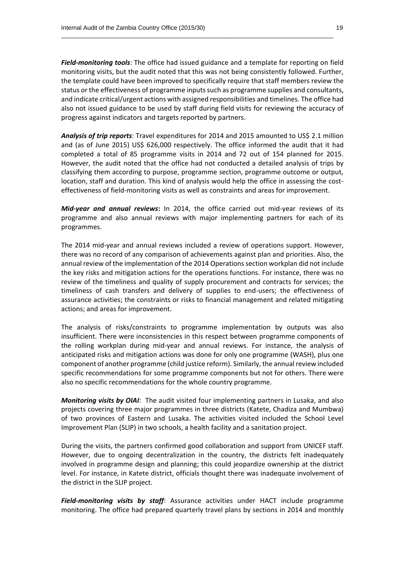*Field-monitoring tools*: The office had issued guidance and a template for reporting on field monitoring visits, but the audit noted that this was not being consistently followed. Further, the template could have been improved to specifically require that staff members review the status or the effectiveness of programme inputs such as programme supplies and consultants, and indicate critical/urgent actions with assigned responsibilities and timelines. The office had also not issued guidance to be used by staff during field visits for reviewing the accuracy of progress against indicators and targets reported by partners.

\_\_\_\_\_\_\_\_\_\_\_\_\_\_\_\_\_\_\_\_\_\_\_\_\_\_\_\_\_\_\_\_\_\_\_\_\_\_\_\_\_\_\_\_\_\_\_\_\_\_\_\_\_\_\_\_\_\_\_\_\_\_\_\_\_\_\_\_\_\_\_\_\_\_\_\_\_\_\_\_

*Analysis of trip reports*: Travel expenditures for 2014 and 2015 amounted to US\$ 2.1 million and (as of June 2015) US\$ 626,000 respectively. The office informed the audit that it had completed a total of 85 programme visits in 2014 and 72 out of 154 planned for 2015. However, the audit noted that the office had not conducted a detailed analysis of trips by classifying them according to purpose, programme section, programme outcome or output, location, staff and duration. This kind of analysis would help the office in assessing the costeffectiveness of field-monitoring visits as well as constraints and areas for improvement.

*Mid-year and annual reviews***:** In 2014, the office carried out mid-year reviews of its programme and also annual reviews with major implementing partners for each of its programmes.

The 2014 mid-year and annual reviews included a review of operations support. However, there was no record of any comparison of achievements against plan and priorities. Also, the annual review of the implementation of the 2014 Operationssection workplan did not include the key risks and mitigation actions for the operations functions. For instance, there was no review of the timeliness and quality of supply procurement and contracts for services; the timeliness of cash transfers and delivery of supplies to end-users; the effectiveness of assurance activities; the constraints or risks to financial management and related mitigating actions; and areas for improvement.

The analysis of risks/constraints to programme implementation by outputs was also insufficient. There were inconsistencies in this respect between programme components of the rolling workplan during mid-year and annual reviews. For instance, the analysis of anticipated risks and mitigation actions was done for only one programme (WASH), plus one component of another programme (child justice reform). Similarly, the annual review included specific recommendations for some programme components but not for others. There were also no specific recommendations for the whole country programme.

*Monitoring visits by OIAI*: The audit visited four implementing partners in Lusaka, and also projects covering three major programmes in three districts (Katete, Chadiza and Mumbwa) of two provinces of Eastern and Lusaka. The activities visited included the School Level Improvement Plan (SLIP) in two schools, a health facility and a sanitation project.

During the visits, the partners confirmed good collaboration and support from UNICEF staff. However, due to ongoing decentralization in the country, the districts felt inadequately involved in programme design and planning; this could jeopardize ownership at the district level. For instance, in Katete district, officials thought there was inadequate involvement of the district in the SLIP project.

*Field-monitoring visits by staff*: Assurance activities under HACT include programme monitoring. The office had prepared quarterly travel plans by sections in 2014 and monthly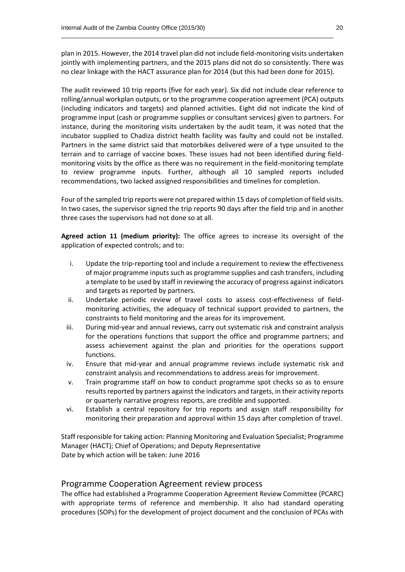plan in 2015. However, the 2014 travel plan did not include field-monitoring visits undertaken jointly with implementing partners, and the 2015 plans did not do so consistently. There was no clear linkage with the HACT assurance plan for 2014 (but this had been done for 2015).

\_\_\_\_\_\_\_\_\_\_\_\_\_\_\_\_\_\_\_\_\_\_\_\_\_\_\_\_\_\_\_\_\_\_\_\_\_\_\_\_\_\_\_\_\_\_\_\_\_\_\_\_\_\_\_\_\_\_\_\_\_\_\_\_\_\_\_\_\_\_\_\_\_\_\_\_\_\_\_\_

The audit reviewed 10 trip reports (five for each year). Six did not include clear reference to rolling/annual workplan outputs, or to the programme cooperation agreement (PCA) outputs (including indicators and targets) and planned activities. Eight did not indicate the kind of programme input (cash or programme supplies or consultant services) given to partners. For instance, during the monitoring visits undertaken by the audit team, it was noted that the incubator supplied to Chadiza district health facility was faulty and could not be installed. Partners in the same district said that motorbikes delivered were of a type unsuited to the terrain and to carriage of vaccine boxes. These issues had not been identified during fieldmonitoring visits by the office as there was no requirement in the field-monitoring template to review programme inputs. Further, although all 10 sampled reports included recommendations, two lacked assigned responsibilities and timelines for completion.

Four of the sampled trip reports were not prepared within 15 days of completion of field visits. In two cases, the supervisor signed the trip reports 90 days after the field trip and in another three cases the supervisors had not done so at all.

**Agreed action 11 (medium priority):** The office agrees to increase its oversight of the application of expected controls; and to:

- i. Update the trip-reporting tool and include a requirement to review the effectiveness of major programme inputs such as programme supplies and cash transfers, including a template to be used by staff in reviewing the accuracy of progress against indicators and targets as reported by partners.
- ii. Undertake periodic review of travel costs to assess cost-effectiveness of fieldmonitoring activities, the adequacy of technical support provided to partners, the constraints to field monitoring and the areas for its improvement.
- iii. During mid-year and annual reviews, carry out systematic risk and constraint analysis for the operations functions that support the office and programme partners; and assess achievement against the plan and priorities for the operations support functions.
- iv. Ensure that mid-year and annual programme reviews include systematic risk and constraint analysis and recommendations to address areas for improvement.
- v. Train programme staff on how to conduct programme spot checks so as to ensure results reported by partners against the indicators and targets, in their activity reports or quarterly narrative progress reports, are credible and supported.
- vi. Establish a central repository for trip reports and assign staff responsibility for monitoring their preparation and approval within 15 days after completion of travel.

Staff responsible for taking action: Planning Monitoring and Evaluation Specialist; Programme Manager (HACT); Chief of Operations; and Deputy Representative Date by which action will be taken: June 2016

#### Programme Cooperation Agreement review process

The office had established a Programme Cooperation Agreement Review Committee (PCARC) with appropriate terms of reference and membership. It also had standard operating procedures (SOPs) for the development of project document and the conclusion of PCAs with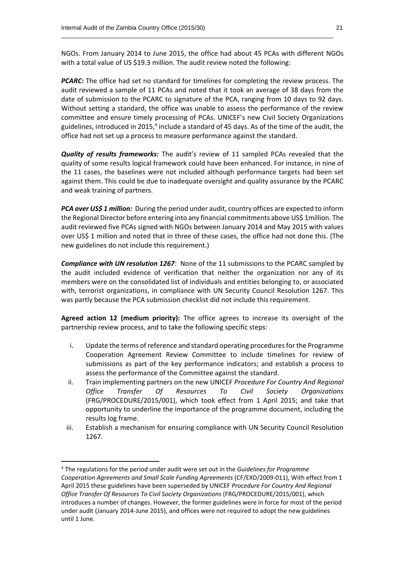NGOs. From January 2014 to June 2015, the office had about 45 PCAs with different NGOs with a total value of US \$19.3 million. The audit review noted the following:

\_\_\_\_\_\_\_\_\_\_\_\_\_\_\_\_\_\_\_\_\_\_\_\_\_\_\_\_\_\_\_\_\_\_\_\_\_\_\_\_\_\_\_\_\_\_\_\_\_\_\_\_\_\_\_\_\_\_\_\_\_\_\_\_\_\_\_\_\_\_\_\_\_\_\_\_\_\_\_\_

**PCARC:** The office had set no standard for timelines for completing the review process. The audit reviewed a sample of 11 PCAs and noted that it took an average of 38 days from the date of submission to the PCARC to signature of the PCA, ranging from 10 days to 92 days. Without setting a standard, the office was unable to assess the performance of the review committee and ensure timely processing of PCAs. UNICEF's new Civil Society Organizations guidelines, introduced in 2015,<sup>4</sup> include a standard of 45 days. As of the time of the audit, the office had not set up a process to measure performance against the standard.

*Quality of results frameworks:* The audit's review of 11 sampled PCAs revealed that the quality of some results logical framework could have been enhanced. For instance, in nine of the 11 cases, the baselines were not included although performance targets had been set against them. This could be due to inadequate oversight and quality assurance by the PCARC and weak training of partners.

*PCA over US\$ 1 million:* During the period under audit, country offices are expected to inform the Regional Director before entering into any financial commitments above US\$ 1million. The audit reviewed five PCAs signed with NGOs between January 2014 and May 2015 with values over US\$ 1 million and noted that in three of these cases, the office had not done this. (The new guidelines do not include this requirement.)

*Compliance with UN resolution 1267*: None of the 11 submissions to the PCARC sampled by the audit included evidence of verification that neither the organization nor any of its members were on the consolidated list of individuals and entities belonging to, or associated with, terrorist organizations, in compliance with UN Security Council Resolution 1267. This was partly because the PCA submission checklist did not include this requirement.

**Agreed action 12 (medium priority):** The office agrees to increase its oversight of the partnership review process, and to take the following specific steps:

- i. Update the terms of reference and standard operating procedures for the Programme Cooperation Agreement Review Committee to include timelines for review of submissions as part of the key performance indicators; and establish a process to assess the performance of the Committee against the standard.
- ii. Train implementing partners on the new UNICEF *Procedure For Country And Regional Office Transfer Of Resources To Civil Society Organizations* (FRG/PROCEDURE/2015/001), which took effect from 1 April 2015; and take that opportunity to underline the importance of the programme document, including the results log frame.
- iii. Establish a mechanism for ensuring compliance with UN Security Council Resolution 1267.

**.** 

<sup>4</sup> The regulations for the period under audit were set out in the *Guidelines for Programme Cooperation Agreements and Small Scale Funding Agreements* (CF/EXD/2009-011), With effect from 1 April 2015 these guidelines have been superseded by UNICEF *Procedure For Country And Regional Office Transfer Of Resources To Civil Society Organizations* (FRG/PROCEDURE/2015/001), which introduces a number of changes. However, the former guidelines were in force for most of the period under audit (January 2014-June 2015), and offices were not required to adopt the new guidelines until 1 June.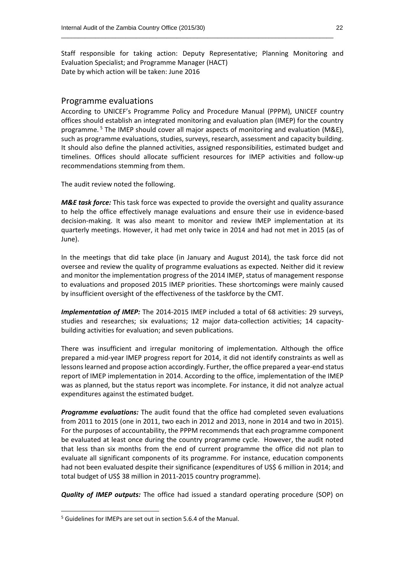Staff responsible for taking action: Deputy Representative; Planning Monitoring and Evaluation Specialist; and Programme Manager (HACT) Date by which action will be taken: June 2016

\_\_\_\_\_\_\_\_\_\_\_\_\_\_\_\_\_\_\_\_\_\_\_\_\_\_\_\_\_\_\_\_\_\_\_\_\_\_\_\_\_\_\_\_\_\_\_\_\_\_\_\_\_\_\_\_\_\_\_\_\_\_\_\_\_\_\_\_\_\_\_\_\_\_\_\_\_\_\_\_

#### Programme evaluations

According to UNICEF's Programme Policy and Procedure Manual (PPPM), UNICEF country offices should establish an integrated monitoring and evaluation plan (IMEP) for the country programme.<sup>5</sup> The IMEP should cover all major aspects of monitoring and evaluation (M&E), such as programme evaluations, studies, surveys, research, assessment and capacity building. It should also define the planned activities, assigned responsibilities, estimated budget and timelines. Offices should allocate sufficient resources for IMEP activities and follow-up recommendations stemming from them.

The audit review noted the following.

*M&E task force:* This task force was expected to provide the oversight and quality assurance to help the office effectively manage evaluations and ensure their use in evidence-based decision-making. It was also meant to monitor and review IMEP implementation at its quarterly meetings. However, it had met only twice in 2014 and had not met in 2015 (as of June).

In the meetings that did take place (in January and August 2014), the task force did not oversee and review the quality of programme evaluations as expected. Neither did it review and monitor the implementation progress of the 2014 IMEP, status of management response to evaluations and proposed 2015 IMEP priorities. These shortcomings were mainly caused by insufficient oversight of the effectiveness of the taskforce by the CMT.

*Implementation of IMEP:* The 2014-2015 IMEP included a total of 68 activities: 29 surveys, studies and researches; six evaluations; 12 major data-collection activities; 14 capacitybuilding activities for evaluation; and seven publications.

There was insufficient and irregular monitoring of implementation. Although the office prepared a mid-year IMEP progress report for 2014, it did not identify constraints as well as lessons learned and propose action accordingly. Further, the office prepared a year-end status report of IMEP implementation in 2014. According to the office, implementation of the IMEP was as planned, but the status report was incomplete. For instance, it did not analyze actual expenditures against the estimated budget.

*Programme evaluations:* The audit found that the office had completed seven evaluations from 2011 to 2015 (one in 2011, two each in 2012 and 2013, none in 2014 and two in 2015). For the purposes of accountability, the PPPM recommends that each programme component be evaluated at least once during the country programme cycle. However, the audit noted that less than six months from the end of current programme the office did not plan to evaluate all significant components of its programme. For instance, education components had not been evaluated despite their significance (expenditures of US\$ 6 million in 2014; and total budget of US\$ 38 million in 2011-2015 country programme).

*Quality of IMEP outputs:* The office had issued a standard operating procedure (SOP) on

**.** 

<sup>5</sup> Guidelines for IMEPs are set out in section 5.6.4 of the Manual.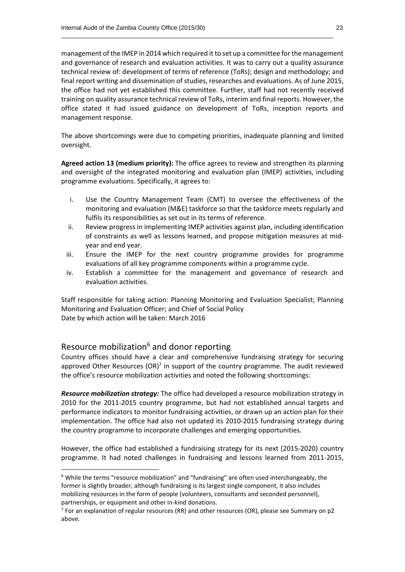management of the IMEP in 2014 which required it to set up a committee for the management and governance of research and evaluation activities. It was to carry out a quality assurance technical review of: development of terms of reference (ToRs); design and methodology; and final report writing and dissemination of studies, researches and evaluations. As of June 2015, the office had not yet established this committee. Further, staff had not recently received training on quality assurance technical review of ToRs, interim and final reports. However, the office stated it had issued guidance on development of ToRs, inception reports and management response.

\_\_\_\_\_\_\_\_\_\_\_\_\_\_\_\_\_\_\_\_\_\_\_\_\_\_\_\_\_\_\_\_\_\_\_\_\_\_\_\_\_\_\_\_\_\_\_\_\_\_\_\_\_\_\_\_\_\_\_\_\_\_\_\_\_\_\_\_\_\_\_\_\_\_\_\_\_\_\_\_

The above shortcomings were due to competing priorities, inadequate planning and limited oversight.

**Agreed action 13 (medium priority):** The office agrees to review and strengthen its planning and oversight of the integrated monitoring and evaluation plan (IMEP) activities, including programme evaluations. Specifically, it agrees to:

- i. Use the Country Management Team (CMT) to oversee the effectiveness of the monitoring and evaluation (M&E) taskforce so that the taskforce meets regularly and fulfils its responsibilities as set out in its terms of reference.
- ii. Review progress in implementing IMEP activities against plan, including identification of constraints as well as lessons learned, and propose mitigation measures at midyear and end year.
- iii. Ensure the IMEP for the next country programme provides for programme evaluations of all key programme components within a programme cycle.
- iv. Establish a committee for the management and governance of research and evaluation activities.

Staff responsible for taking action: Planning Monitoring and Evaluation Specialist; Planning Monitoring and Evaluation Officer; and Chief of Social Policy Date by which action will be taken: March 2016

#### Resource mobilization<sup>6</sup> and donor reporting

**.** 

Country offices should have a clear and comprehensive fundraising strategy for securing approved Other Resources  $(OR)^7$  in support of the country programme. The audit reviewed the office's resource mobilization activities and noted the following shortcomings:

*Resource mobilization strategy:* The office had developed a resource mobilization strategy in 2010 for the 2011-2015 country programme, but had not established annual targets and performance indicators to monitor fundraising activities, or drawn up an action plan for their implementation. The office had also not updated its 2010-2015 fundraising strategy during the country programme to incorporate challenges and emerging opportunities.

However, the office had established a fundraising strategy for its next (2015-2020) country programme. It had noted challenges in fundraising and lessons learned from 2011-2015,

<sup>&</sup>lt;sup>6</sup> While the terms "resource mobilization" and "fundraising" are often used interchangeably, the former is slightly broader; although fundraising is its largest single component, it also includes mobilizing resources in the form of people (volunteers, consultants and seconded personnel), partnerships, or equipment and other in-kind donations.

<sup>&</sup>lt;sup>7</sup> For an explanation of regular resources (RR) and other resources (OR), please see Summary on p2 above.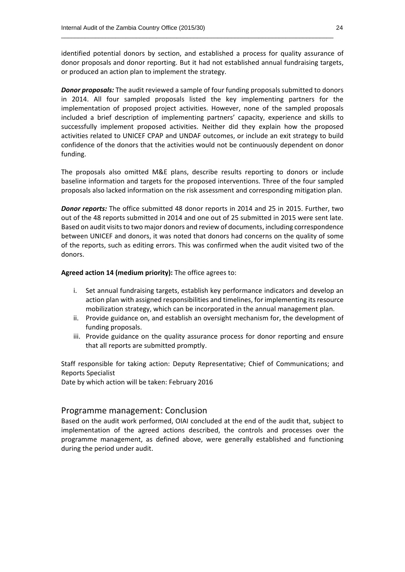identified potential donors by section, and established a process for quality assurance of donor proposals and donor reporting. But it had not established annual fundraising targets, or produced an action plan to implement the strategy.

\_\_\_\_\_\_\_\_\_\_\_\_\_\_\_\_\_\_\_\_\_\_\_\_\_\_\_\_\_\_\_\_\_\_\_\_\_\_\_\_\_\_\_\_\_\_\_\_\_\_\_\_\_\_\_\_\_\_\_\_\_\_\_\_\_\_\_\_\_\_\_\_\_\_\_\_\_\_\_\_

*Donor proposals:* The audit reviewed a sample of four funding proposals submitted to donors in 2014. All four sampled proposals listed the key implementing partners for the implementation of proposed project activities. However, none of the sampled proposals included a brief description of implementing partners' capacity, experience and skills to successfully implement proposed activities. Neither did they explain how the proposed activities related to UNICEF CPAP and UNDAF outcomes, or include an exit strategy to build confidence of the donors that the activities would not be continuously dependent on donor funding.

The proposals also omitted M&E plans, describe results reporting to donors or include baseline information and targets for the proposed interventions. Three of the four sampled proposals also lacked information on the risk assessment and corresponding mitigation plan.

*Donor reports:* The office submitted 48 donor reports in 2014 and 25 in 2015. Further, two out of the 48 reports submitted in 2014 and one out of 25 submitted in 2015 were sent late. Based on audit visits to two major donors and review of documents, including correspondence between UNICEF and donors, it was noted that donors had concerns on the quality of some of the reports, such as editing errors. This was confirmed when the audit visited two of the donors.

**Agreed action 14 (medium priority):** The office agrees to:

- i. Set annual fundraising targets, establish key performance indicators and develop an action plan with assigned responsibilities and timelines, for implementing its resource mobilization strategy, which can be incorporated in the annual management plan.
- ii. Provide guidance on, and establish an oversight mechanism for, the development of funding proposals.
- iii. Provide guidance on the quality assurance process for donor reporting and ensure that all reports are submitted promptly.

Staff responsible for taking action: Deputy Representative; Chief of Communications; and Reports Specialist

Date by which action will be taken: February 2016

#### Programme management: Conclusion

Based on the audit work performed, OIAI concluded at the end of the audit that, subject to implementation of the agreed actions described, the controls and processes over the programme management, as defined above, were generally established and functioning during the period under audit.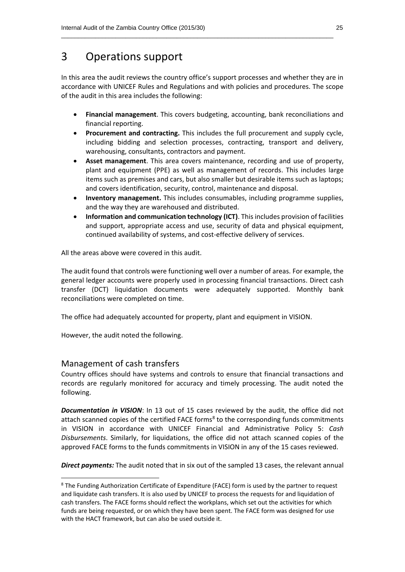### 3 Operations support

In this area the audit reviews the country office's support processes and whether they are in accordance with UNICEF Rules and Regulations and with policies and procedures. The scope of the audit in this area includes the following:

\_\_\_\_\_\_\_\_\_\_\_\_\_\_\_\_\_\_\_\_\_\_\_\_\_\_\_\_\_\_\_\_\_\_\_\_\_\_\_\_\_\_\_\_\_\_\_\_\_\_\_\_\_\_\_\_\_\_\_\_\_\_\_\_\_\_\_\_\_\_\_\_\_\_\_\_\_\_\_\_

- **Financial management**. This covers budgeting, accounting, bank reconciliations and financial reporting.
- **Procurement and contracting.** This includes the full procurement and supply cycle, including bidding and selection processes, contracting, transport and delivery, warehousing, consultants, contractors and payment.
- **Asset management**. This area covers maintenance, recording and use of property, plant and equipment (PPE) as well as management of records. This includes large items such as premises and cars, but also smaller but desirable items such as laptops; and covers identification, security, control, maintenance and disposal.
- **Inventory management.** This includes consumables, including programme supplies, and the way they are warehoused and distributed.
- **Information and communication technology (ICT)**. This includes provision of facilities and support, appropriate access and use, security of data and physical equipment, continued availability of systems, and cost-effective delivery of services.

All the areas above were covered in this audit.

The audit found that controls were functioning well over a number of areas. For example, the general ledger accounts were properly used in processing financial transactions. Direct cash transfer (DCT) liquidation documents were adequately supported. Monthly bank reconciliations were completed on time.

The office had adequately accounted for property, plant and equipment in VISION.

However, the audit noted the following.

#### Management of cash transfers

**.** 

Country offices should have systems and controls to ensure that financial transactions and records are regularly monitored for accuracy and timely processing. The audit noted the following.

*Documentation in VISION*: In 13 out of 15 cases reviewed by the audit, the office did not attach scanned copies of the certified FACE forms<sup>8</sup> to the corresponding funds commitments in VISION in accordance with UNICEF Financial and Administrative Policy 5: *Cash Disbursements*. Similarly, for liquidations, the office did not attach scanned copies of the approved FACE forms to the funds commitments in VISION in any of the 15 cases reviewed.

*Direct payments:* The audit noted that in six out of the sampled 13 cases, the relevant annual

<sup>&</sup>lt;sup>8</sup> The Funding Authorization Certificate of Expenditure (FACE) form is used by the partner to request and liquidate cash transfers. It is also used by UNICEF to process the requests for and liquidation of cash transfers. The FACE forms should reflect the workplans, which set out the activities for which funds are being requested, or on which they have been spent. The FACE form was designed for use with the HACT framework, but can also be used outside it.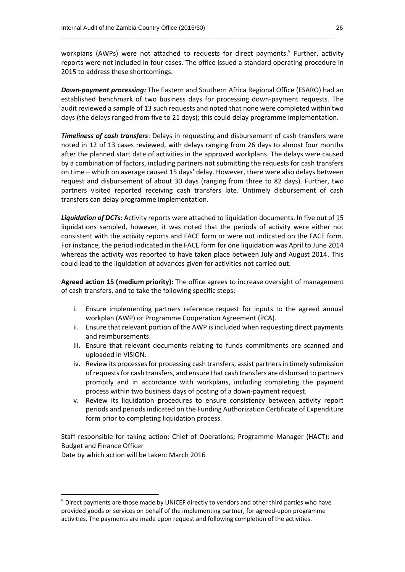workplans (AWPs) were not attached to requests for direct payments.<sup>9</sup> Further, activity reports were not included in four cases. The office issued a standard operating procedure in 2015 to address these shortcomings.

\_\_\_\_\_\_\_\_\_\_\_\_\_\_\_\_\_\_\_\_\_\_\_\_\_\_\_\_\_\_\_\_\_\_\_\_\_\_\_\_\_\_\_\_\_\_\_\_\_\_\_\_\_\_\_\_\_\_\_\_\_\_\_\_\_\_\_\_\_\_\_\_\_\_\_\_\_\_\_\_

*Down-payment processing:* The Eastern and Southern Africa Regional Office (ESARO) had an established benchmark of two business days for processing down-payment requests. The audit reviewed a sample of 13 such requests and noted that none were completed within two days (the delays ranged from five to 21 days); this could delay programme implementation.

*Timeliness of cash transfers*: Delays in requesting and disbursement of cash transfers were noted in 12 of 13 cases reviewed, with delays ranging from 26 days to almost four months after the planned start date of activities in the approved workplans. The delays were caused by a combination of factors, including partners not submitting the requests for cash transfers on time – which on average caused 15 days' delay. However, there were also delays between request and disbursement of about 30 days (ranging from three to 82 days). Further, two partners visited reported receiving cash transfers late. Untimely disbursement of cash transfers can delay programme implementation.

*Liquidation of DCTs:* Activity reports were attached to liquidation documents. In five out of 15 liquidations sampled, however, it was noted that the periods of activity were either not consistent with the activity reports and FACE form or were not indicated on the FACE form. For instance, the period indicated in the FACE form for one liquidation was April to June 2014 whereas the activity was reported to have taken place between July and August 2014. This could lead to the liquidation of advances given for activities not carried out.

**Agreed action 15 (medium priority):** The office agrees to increase oversight of management of cash transfers, and to take the following specific steps:

- i. Ensure implementing partners reference request for inputs to the agreed annual workplan (AWP) or Programme Cooperation Agreement (PCA).
- ii. Ensure that relevant portion of the AWP is included when requesting direct payments and reimbursements.
- iii. Ensure that relevant documents relating to funds commitments are scanned and uploaded in VISION.
- iv. Review its processes for processing cash transfers, assist partners in timely submission of requests for cash transfers, and ensure that cash transfers are disbursed to partners promptly and in accordance with workplans, including completing the payment process within two business days of posting of a down-payment request.
- v. Review its liquidation procedures to ensure consistency between activity report periods and periods indicated on the Funding Authorization Certificate of Expenditure form prior to completing liquidation process.

Staff responsible for taking action: Chief of Operations; Programme Manager (HACT); and Budget and Finance Officer

Date by which action will be taken: March 2016

**.** 

 $9$  Direct payments are those made by UNICEF directly to vendors and other third parties who have provided goods or services on behalf of the implementing partner, for agreed-upon programme activities. The payments are made upon request and following completion of the activities.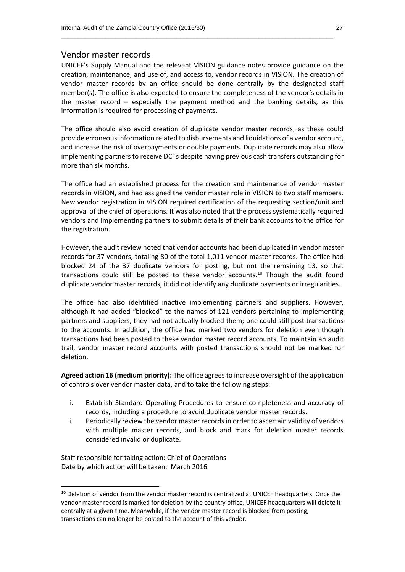#### Vendor master records

UNICEF's Supply Manual and the relevant VISION guidance notes provide guidance on the creation, maintenance, and use of, and access to, vendor records in VISION. The creation of vendor master records by an office should be done centrally by the designated staff member(s). The office is also expected to ensure the completeness of the vendor's details in the master record – especially the payment method and the banking details, as this information is required for processing of payments.

\_\_\_\_\_\_\_\_\_\_\_\_\_\_\_\_\_\_\_\_\_\_\_\_\_\_\_\_\_\_\_\_\_\_\_\_\_\_\_\_\_\_\_\_\_\_\_\_\_\_\_\_\_\_\_\_\_\_\_\_\_\_\_\_\_\_\_\_\_\_\_\_\_\_\_\_\_\_\_\_

The office should also avoid creation of duplicate vendor master records, as these could provide erroneous information related to disbursements and liquidations of a vendor account, and increase the risk of overpayments or double payments. Duplicate records may also allow implementing partners to receive DCTs despite having previous cash transfers outstanding for more than six months.

The office had an established process for the creation and maintenance of vendor master records in VISION, and had assigned the vendor master role in VISION to two staff members. New vendor registration in VISION required certification of the requesting section/unit and approval of the chief of operations. It was also noted that the process systematically required vendors and implementing partners to submit details of their bank accounts to the office for the registration.

However, the audit review noted that vendor accounts had been duplicated in vendor master records for 37 vendors, totaling 80 of the total 1,011 vendor master records. The office had blocked 24 of the 37 duplicate vendors for posting, but not the remaining 13, so that transactions could still be posted to these vendor accounts. <sup>10</sup> Though the audit found duplicate vendor master records, it did not identify any duplicate payments or irregularities.

The office had also identified inactive implementing partners and suppliers. However, although it had added "blocked" to the names of 121 vendors pertaining to implementing partners and suppliers, they had not actually blocked them; one could still post transactions to the accounts. In addition, the office had marked two vendors for deletion even though transactions had been posted to these vendor master record accounts. To maintain an audit trail, vendor master record accounts with posted transactions should not be marked for deletion.

**Agreed action 16 (medium priority):** The office agrees to increase oversight of the application of controls over vendor master data, and to take the following steps:

- i. Establish Standard Operating Procedures to ensure completeness and accuracy of records, including a procedure to avoid duplicate vendor master records.
- ii. Periodically review the vendor master records in order to ascertain validity of vendors with multiple master records, and block and mark for deletion master records considered invalid or duplicate.

Staff responsible for taking action: Chief of Operations Date by which action will be taken: March 2016

1

<sup>&</sup>lt;sup>10</sup> Deletion of vendor from the vendor master record is centralized at UNICEF headquarters. Once the vendor master record is marked for deletion by the country office, UNICEF headquarters will delete it centrally at a given time. Meanwhile, if the vendor master record is blocked from posting, transactions can no longer be posted to the account of this vendor.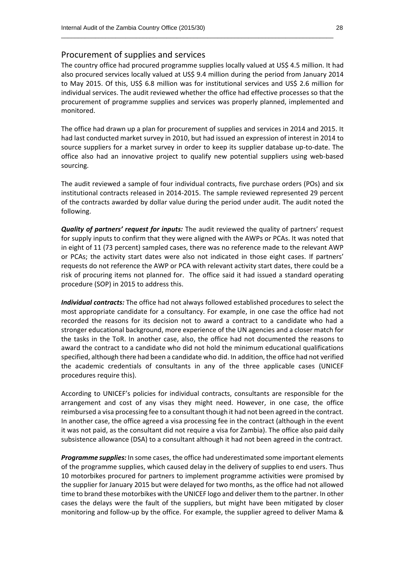#### Procurement of supplies and services

The country office had procured programme supplies locally valued at US\$ 4.5 million. It had also procured services locally valued at US\$ 9.4 million during the period from January 2014 to May 2015. Of this, US\$ 6.8 million was for institutional services and US\$ 2.6 million for individual services. The audit reviewed whether the office had effective processes so that the procurement of programme supplies and services was properly planned, implemented and monitored.

\_\_\_\_\_\_\_\_\_\_\_\_\_\_\_\_\_\_\_\_\_\_\_\_\_\_\_\_\_\_\_\_\_\_\_\_\_\_\_\_\_\_\_\_\_\_\_\_\_\_\_\_\_\_\_\_\_\_\_\_\_\_\_\_\_\_\_\_\_\_\_\_\_\_\_\_\_\_\_\_

The office had drawn up a plan for procurement of supplies and services in 2014 and 2015. It had last conducted market survey in 2010, but had issued an expression of interest in 2014 to source suppliers for a market survey in order to keep its supplier database up-to-date. The office also had an innovative project to qualify new potential suppliers using web-based sourcing.

The audit reviewed a sample of four individual contracts, five purchase orders (POs) and six institutional contracts released in 2014-2015. The sample reviewed represented 29 percent of the contracts awarded by dollar value during the period under audit. The audit noted the following.

*Quality of partners' request for inputs:* The audit reviewed the quality of partners' request for supply inputs to confirm that they were aligned with the AWPs or PCAs. It was noted that in eight of 11 (73 percent) sampled cases, there was no reference made to the relevant AWP or PCAs; the activity start dates were also not indicated in those eight cases. If partners' requests do not reference the AWP or PCA with relevant activity start dates, there could be a risk of procuring items not planned for. The office said it had issued a standard operating procedure (SOP) in 2015 to address this.

*Individual contracts:* The office had not always followed established procedures to select the most appropriate candidate for a consultancy. For example, in one case the office had not recorded the reasons for its decision not to award a contract to a candidate who had a stronger educational background, more experience of the UN agencies and a closer match for the tasks in the ToR. In another case, also, the office had not documented the reasons to award the contract to a candidate who did not hold the minimum educational qualifications specified, although there had been a candidate who did. In addition, the office had not verified the academic credentials of consultants in any of the three applicable cases (UNICEF procedures require this).

According to UNICEF's policies for individual contracts, consultants are responsible for the arrangement and cost of any visas they might need. However, in one case, the office reimbursed a visa processing fee to a consultant though it had not been agreed in the contract. In another case, the office agreed a visa processing fee in the contract (although in the event it was not paid, as the consultant did not require a visa for Zambia). The office also paid daily subsistence allowance (DSA) to a consultant although it had not been agreed in the contract.

*Programme supplies:* In some cases, the office had underestimated some important elements of the programme supplies, which caused delay in the delivery of supplies to end users. Thus 10 motorbikes procured for partners to implement programme activities were promised by the supplier for January 2015 but were delayed for two months, as the office had not allowed time to brand these motorbikes with the UNICEF logo and deliver them to the partner. In other cases the delays were the fault of the suppliers, but might have been mitigated by closer monitoring and follow-up by the office. For example, the supplier agreed to deliver Mama &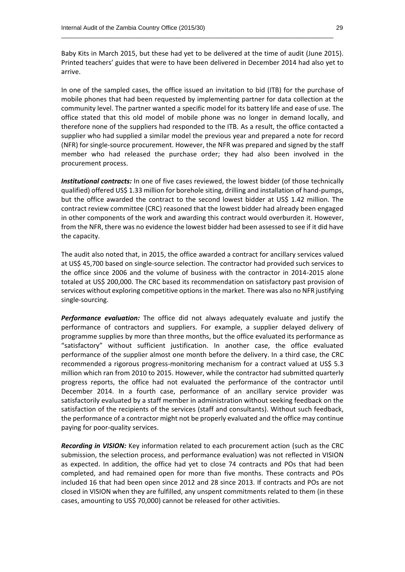Baby Kits in March 2015, but these had yet to be delivered at the time of audit (June 2015). Printed teachers' guides that were to have been delivered in December 2014 had also yet to arrive.

\_\_\_\_\_\_\_\_\_\_\_\_\_\_\_\_\_\_\_\_\_\_\_\_\_\_\_\_\_\_\_\_\_\_\_\_\_\_\_\_\_\_\_\_\_\_\_\_\_\_\_\_\_\_\_\_\_\_\_\_\_\_\_\_\_\_\_\_\_\_\_\_\_\_\_\_\_\_\_\_

In one of the sampled cases, the office issued an invitation to bid (ITB) for the purchase of mobile phones that had been requested by implementing partner for data collection at the community level. The partner wanted a specific model for its battery life and ease of use. The office stated that this old model of mobile phone was no longer in demand locally, and therefore none of the suppliers had responded to the ITB. As a result, the office contacted a supplier who had supplied a similar model the previous year and prepared a note for record (NFR) for single-source procurement. However, the NFR was prepared and signed by the staff member who had released the purchase order; they had also been involved in the procurement process.

*Institutional contracts:* In one of five cases reviewed, the lowest bidder (of those technically qualified) offered US\$ 1.33 million for borehole siting, drilling and installation of hand-pumps, but the office awarded the contract to the second lowest bidder at US\$ 1.42 million. The contract review committee (CRC) reasoned that the lowest bidder had already been engaged in other components of the work and awarding this contract would overburden it. However, from the NFR, there was no evidence the lowest bidder had been assessed to see if it did have the capacity.

The audit also noted that, in 2015, the office awarded a contract for ancillary services valued at US\$ 45,700 based on single-source selection. The contractor had provided such services to the office since 2006 and the volume of business with the contractor in 2014-2015 alone totaled at US\$ 200,000. The CRC based its recommendation on satisfactory past provision of services without exploring competitive options in the market. There was also no NFR justifying single-sourcing.

*Performance evaluation:* The office did not always adequately evaluate and justify the performance of contractors and suppliers. For example, a supplier delayed delivery of programme supplies by more than three months, but the office evaluated its performance as "satisfactory" without sufficient justification. In another case, the office evaluated performance of the supplier almost one month before the delivery. In a third case, the CRC recommended a rigorous progress-monitoring mechanism for a contract valued at US\$ 5.3 million which ran from 2010 to 2015. However, while the contractor had submitted quarterly progress reports, the office had not evaluated the performance of the contractor until December 2014. In a fourth case, performance of an ancillary service provider was satisfactorily evaluated by a staff member in administration without seeking feedback on the satisfaction of the recipients of the services (staff and consultants). Without such feedback, the performance of a contractor might not be properly evaluated and the office may continue paying for poor-quality services.

*Recording in VISION:* Key information related to each procurement action (such as the CRC submission, the selection process, and performance evaluation) was not reflected in VISION as expected. In addition, the office had yet to close 74 contracts and POs that had been completed, and had remained open for more than five months. These contracts and POs included 16 that had been open since 2012 and 28 since 2013. If contracts and POs are not closed in VISION when they are fulfilled, any unspent commitments related to them (in these cases, amounting to US\$ 70,000) cannot be released for other activities.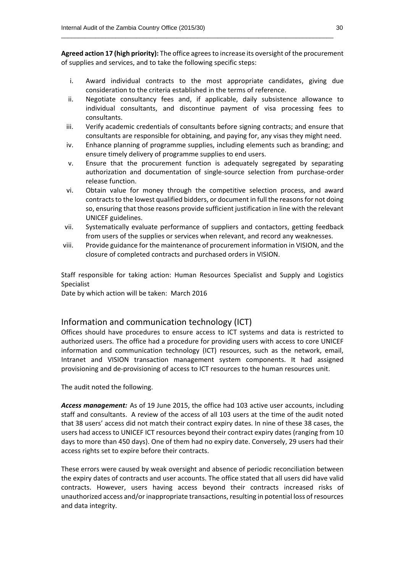**Agreed action 17 (high priority):** The office agrees to increase its oversight of the procurement of supplies and services, and to take the following specific steps:

\_\_\_\_\_\_\_\_\_\_\_\_\_\_\_\_\_\_\_\_\_\_\_\_\_\_\_\_\_\_\_\_\_\_\_\_\_\_\_\_\_\_\_\_\_\_\_\_\_\_\_\_\_\_\_\_\_\_\_\_\_\_\_\_\_\_\_\_\_\_\_\_\_\_\_\_\_\_\_\_

- i. Award individual contracts to the most appropriate candidates, giving due consideration to the criteria established in the terms of reference.
- ii. Negotiate consultancy fees and, if applicable, daily subsistence allowance to individual consultants, and discontinue payment of visa processing fees to consultants.
- iii. Verify academic credentials of consultants before signing contracts; and ensure that consultants are responsible for obtaining, and paying for, any visas they might need.
- iv. Enhance planning of programme supplies, including elements such as branding; and ensure timely delivery of programme supplies to end users.
- v. Ensure that the procurement function is adequately segregated by separating authorization and documentation of single-source selection from purchase-order release function.
- vi. Obtain value for money through the competitive selection process, and award contracts to the lowest qualified bidders, or document in full the reasons for not doing so, ensuring that those reasons provide sufficient justification in line with the relevant UNICEF guidelines.
- vii. Systematically evaluate performance of suppliers and contactors, getting feedback from users of the supplies or services when relevant, and record any weaknesses.
- viii. Provide guidance for the maintenance of procurement information in VISION, and the closure of completed contracts and purchased orders in VISION.

Staff responsible for taking action: Human Resources Specialist and Supply and Logistics Specialist

Date by which action will be taken: March 2016

#### Information and communication technology (ICT)

Offices should have procedures to ensure access to ICT systems and data is restricted to authorized users. The office had a procedure for providing users with access to core UNICEF information and communication technology (ICT) resources, such as the network, email, Intranet and VISION transaction management system components. It had assigned provisioning and de-provisioning of access to ICT resources to the human resources unit.

The audit noted the following.

*Access management:* As of 19 June 2015, the office had 103 active user accounts, including staff and consultants. A review of the access of all 103 users at the time of the audit noted that 38 users' access did not match their contract expiry dates. In nine of these 38 cases, the users had access to UNICEF ICT resources beyond their contract expiry dates (ranging from 10 days to more than 450 days). One of them had no expiry date. Conversely, 29 users had their access rights set to expire before their contracts.

These errors were caused by weak oversight and absence of periodic reconciliation between the expiry dates of contracts and user accounts. The office stated that all users did have valid contracts. However, users having access beyond their contracts increased risks of unauthorized access and/or inappropriate transactions, resulting in potential loss of resources and data integrity.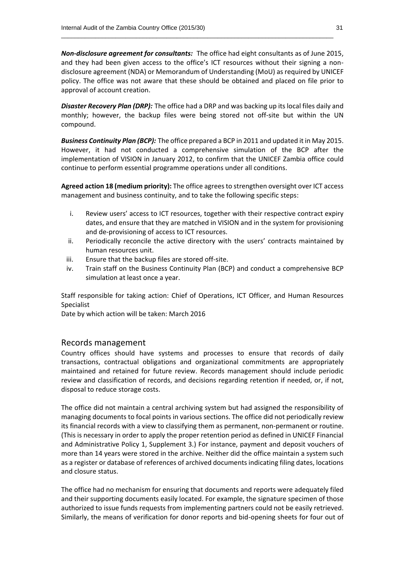*Non-disclosure agreement for consultants:* The office had eight consultants as of June 2015, and they had been given access to the office's ICT resources without their signing a nondisclosure agreement (NDA) or Memorandum of Understanding (MoU) as required by UNICEF policy. The office was not aware that these should be obtained and placed on file prior to approval of account creation.

\_\_\_\_\_\_\_\_\_\_\_\_\_\_\_\_\_\_\_\_\_\_\_\_\_\_\_\_\_\_\_\_\_\_\_\_\_\_\_\_\_\_\_\_\_\_\_\_\_\_\_\_\_\_\_\_\_\_\_\_\_\_\_\_\_\_\_\_\_\_\_\_\_\_\_\_\_\_\_\_

*Disaster Recovery Plan (DRP):* The office had a DRP and was backing up its local files daily and monthly; however, the backup files were being stored not off-site but within the UN compound.

*Business Continuity Plan (BCP):* The office prepared a BCP in 2011 and updated it in May 2015. However, it had not conducted a comprehensive simulation of the BCP after the implementation of VISION in January 2012, to confirm that the UNICEF Zambia office could continue to perform essential programme operations under all conditions.

**Agreed action 18 (medium priority):** The office agrees to strengthen oversight over ICT access management and business continuity, and to take the following specific steps:

- i. Review users' access to ICT resources, together with their respective contract expiry dates, and ensure that they are matched in VISION and in the system for provisioning and de-provisioning of access to ICT resources.
- ii. Periodically reconcile the active directory with the users' contracts maintained by human resources unit.
- iii. Ensure that the backup files are stored off-site.
- iv. Train staff on the Business Continuity Plan (BCP) and conduct a comprehensive BCP simulation at least once a year.

Staff responsible for taking action: Chief of Operations, ICT Officer, and Human Resources Specialist

Date by which action will be taken: March 2016

#### Records management

Country offices should have systems and processes to ensure that records of daily transactions, contractual obligations and organizational commitments are appropriately maintained and retained for future review. Records management should include periodic review and classification of records, and decisions regarding retention if needed, or, if not, disposal to reduce storage costs.

The office did not maintain a central archiving system but had assigned the responsibility of managing documents to focal points in various sections. The office did not periodically review its financial records with a view to classifying them as permanent, non-permanent or routine. (This is necessary in order to apply the proper retention period as defined in UNICEF Financial and Administrative Policy 1, Supplement 3.) For instance, payment and deposit vouchers of more than 14 years were stored in the archive. Neither did the office maintain a system such as a register or database of references of archived documents indicating filing dates, locations and closure status.

The office had no mechanism for ensuring that documents and reports were adequately filed and their supporting documents easily located. For example, the signature specimen of those authorized to issue funds requests from implementing partners could not be easily retrieved. Similarly, the means of verification for donor reports and bid-opening sheets for four out of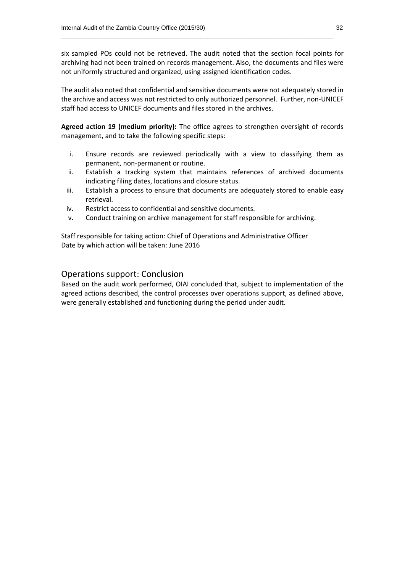six sampled POs could not be retrieved. The audit noted that the section focal points for archiving had not been trained on records management. Also, the documents and files were not uniformly structured and organized, using assigned identification codes.

\_\_\_\_\_\_\_\_\_\_\_\_\_\_\_\_\_\_\_\_\_\_\_\_\_\_\_\_\_\_\_\_\_\_\_\_\_\_\_\_\_\_\_\_\_\_\_\_\_\_\_\_\_\_\_\_\_\_\_\_\_\_\_\_\_\_\_\_\_\_\_\_\_\_\_\_\_\_\_\_

The audit also noted that confidential and sensitive documents were not adequately stored in the archive and access was not restricted to only authorized personnel. Further, non-UNICEF staff had access to UNICEF documents and files stored in the archives.

**Agreed action 19 (medium priority):** The office agrees to strengthen oversight of records management, and to take the following specific steps:

- i. Ensure records are reviewed periodically with a view to classifying them as permanent, non-permanent or routine.
- ii. Establish a tracking system that maintains references of archived documents indicating filing dates, locations and closure status.
- iii. Establish a process to ensure that documents are adequately stored to enable easy retrieval.
- iv. Restrict access to confidential and sensitive documents.
- v. Conduct training on archive management for staff responsible for archiving.

Staff responsible for taking action: Chief of Operations and Administrative Officer Date by which action will be taken: June 2016

#### Operations support: Conclusion

Based on the audit work performed, OIAI concluded that, subject to implementation of the agreed actions described, the control processes over operations support, as defined above, were generally established and functioning during the period under audit.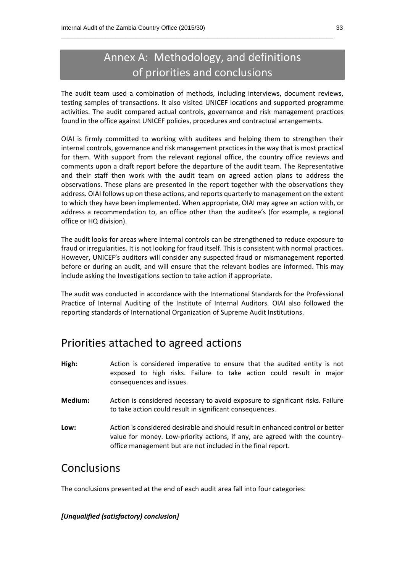## Annex A: Methodology, and definitions of priorities and conclusions

\_\_\_\_\_\_\_\_\_\_\_\_\_\_\_\_\_\_\_\_\_\_\_\_\_\_\_\_\_\_\_\_\_\_\_\_\_\_\_\_\_\_\_\_\_\_\_\_\_\_\_\_\_\_\_\_\_\_\_\_\_\_\_\_\_\_\_\_\_\_\_\_\_\_\_\_\_\_\_\_

The audit team used a combination of methods, including interviews, document reviews, testing samples of transactions. It also visited UNICEF locations and supported programme activities. The audit compared actual controls, governance and risk management practices found in the office against UNICEF policies, procedures and contractual arrangements.

OIAI is firmly committed to working with auditees and helping them to strengthen their internal controls, governance and risk management practices in the way that is most practical for them. With support from the relevant regional office, the country office reviews and comments upon a draft report before the departure of the audit team. The Representative and their staff then work with the audit team on agreed action plans to address the observations. These plans are presented in the report together with the observations they address. OIAI follows up on these actions, and reports quarterly to management on the extent to which they have been implemented. When appropriate, OIAI may agree an action with, or address a recommendation to, an office other than the auditee's (for example, a regional office or HQ division).

The audit looks for areas where internal controls can be strengthened to reduce exposure to fraud or irregularities. It is not looking for fraud itself. This is consistent with normal practices. However, UNICEF's auditors will consider any suspected fraud or mismanagement reported before or during an audit, and will ensure that the relevant bodies are informed. This may include asking the Investigations section to take action if appropriate.

The audit was conducted in accordance with the International Standards for the Professional Practice of Internal Auditing of the Institute of Internal Auditors. OIAI also followed the reporting standards of International Organization of Supreme Audit Institutions.

### Priorities attached to agreed actions

- **High:** Action is considered imperative to ensure that the audited entity is not exposed to high risks. Failure to take action could result in major consequences and issues.
- **Medium:** Action is considered necessary to avoid exposure to significant risks. Failure to take action could result in significant consequences.
- **Low:** Action is considered desirable and should result in enhanced control or better value for money. Low-priority actions, if any, are agreed with the countryoffice management but are not included in the final report.

### Conclusions

The conclusions presented at the end of each audit area fall into four categories:

#### *[Unqualified (satisfactory) conclusion]*